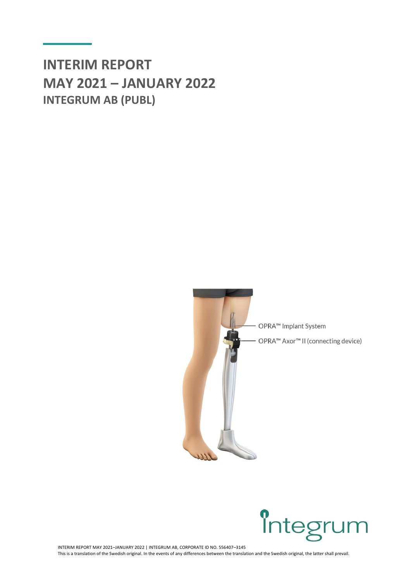# **INTERIM REPORT MAY 2021 – JANUARY 2022 INTEGRUM AB (PUBL)**





1 INTERIM REPORT MAY 2021–JANUARY 2022 | INTEGRUM AB, CORPORATE ID NO. 556407–3145 This is a translation of the Swedish original. In the events of any differences between the translation and the Swedish original, the latter shall prevail.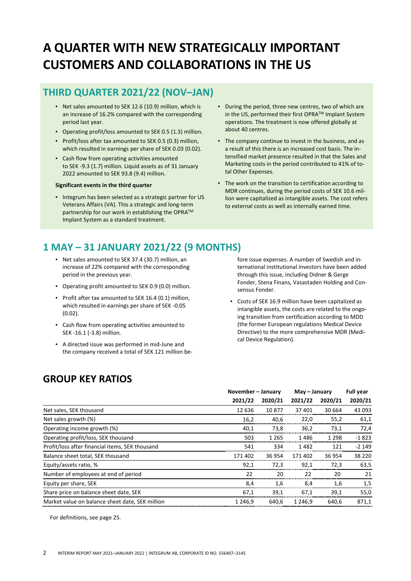# **A QUARTER WITH NEW STRATEGICALLY IMPORTANT CUSTOMERS AND COLLABORATIONS IN THE US**

## **THIRD QUARTER 2021/22 (NOV–JAN)**

- Net sales amounted to SEK 12.6 (10.9) million, which is an increase of 16.2% compared with the corresponding period last year.
- Operating profit/loss amounted to SEK 0.5 (1.3) million.
- Profit/loss after tax amounted to SEK 0.5 (0.3) million, which resulted in earnings per share of SEK 0.03 (0.02).
- Cash flow from operating activities amounted to SEK -9.3 (1.7) million. Liquid assets as of 31 January 2022 amounted to SEK 93.8 (9.4) million.

#### **Significant events in the third quarter**

▪ Integrum has been selected as a strategic partner for US Veterans Affairs (VA). This a strategic and long-term partnership for our work in establishing the OPRA™ Implant System as a standard treatment.

- During the period, three new centres, two of which are in the US, performed their first OPRA™ Implant System operations. The treatment is now offered globally at about 40 centres.
- The company continue to invest in the business, and as a result of this there is an increased cost basis. The intensified market presence resulted in that the Sales and Marketing costs in the period contributed to 41% of total Other Expenses.
- The work on the transition to certification according to MDR continues, during the period costs of SEK 10.6 million were capitalized as intangible assets. The cost refers to external costs as well as internally earned time.

## **1 MAY – 31 JANUARY 2021/22 (9 MONTHS)**

- Net sales amounted to SEK 37.4 (30.7) million, an increase of 22% compared with the corresponding period in the previous year.
- Operating profit amounted to SEK 0.9 (0.0) million.
- Profit after tax amounted to SEK 16.4 (0.1) million, which resulted in earnings per share of SEK -0.05 (0.02).
- Cash flow from operating activities amounted to SEK -16.1 (-3.8) million.
- A directed issue was performed in mid-June and the company received a total of SEK 121 million be-

fore issue expenses. A number of Swedish and international institutional investors have been added through this issue, including Didner & Gerge Fonder, Stena Finans, Vasastaden Holding and Consensus Fonder.

▪ Costs of SEK 16.9 million have been capitalized as intangible assets, the costs are related to the ongoing transition from certification according to MDD (the former European regulations Medical Device Directive) to the more comprehensive MDR (Medical Device Regulation).

## **GROUP KEY RATIOS**

|                                                 | November - January |         | May - January |         | <b>Full year</b> |  |
|-------------------------------------------------|--------------------|---------|---------------|---------|------------------|--|
|                                                 | 2021/22            | 2020/21 | 2021/22       | 2020/21 | 2020/21          |  |
| Net sales, SEK thousand                         | 12 636             | 10877   | 37 401        | 30 664  | 43 093           |  |
| Net sales growth (%)                            | 16,2               | 40,6    | 22,0          | 55,2    | 61,1             |  |
| Operating income growth (%)                     | 40,1               | 73,8    | 36,2          | 73,1    | 72,4             |  |
| Operating profit/loss, SEK thousand             | 503                | 1 2 6 5 | 1486          | 1 2 9 8 | $-1823$          |  |
| Profit/loss after financial items, SEK thousand | 541                | 334     | 1482          | 121     | $-2149$          |  |
| Balance sheet total, SEK thousand               | 171402             | 36 954  | 171402        | 36 954  | 38 2 20          |  |
| Equity/assets ratio, %                          | 92,1               | 72,3    | 92,1          | 72,3    | 63,5             |  |
| Number of employees at end of period            | 22                 | 20      | 22            | 20      | 21               |  |
| Equity per share, SEK                           | 8,4                | 1,6     | 8,4           | 1,6     | 1,5              |  |
| Share price on balance sheet date, SEK          | 67,1               | 39,1    | 67,1          | 39,1    | 55,0             |  |
| Market value on balance sheet date, SEK million | 1 2 4 6.9          | 640.6   | 1 2 4 6.9     | 640.6   | 871,1            |  |

For definitions, see page 25.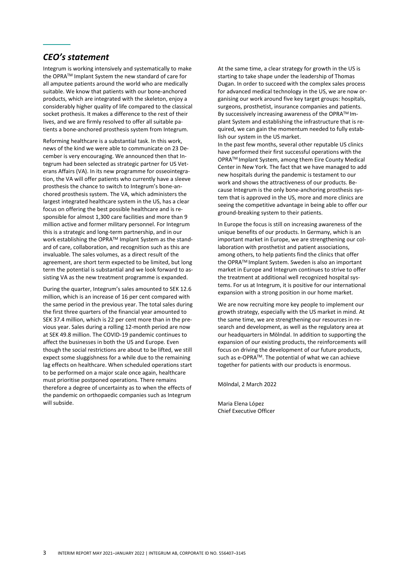## *CEO's statement*

Integrum is working intensively and systematically to make the OPRATM Implant System the new standard of care for all amputee patients around the world who are medically suitable. We know that patients with our bone-anchored products, which are integrated with the skeleton, enjoy a considerably higher quality of life compared to the classical socket prothesis. It makes a difference to the rest of their lives, and we are firmly resolved to offer all suitable patients a bone-anchored prosthesis system from Integrum.

Reforming healthcare is a substantial task. In this work, news of the kind we were able to communicate on 23 December is very encouraging. We announced then that Integrum had been selected as strategic partner for US Veterans Affairs (VA). In its new programme for osseointegration, the VA will offer patients who currently have a sleeve prosthesis the chance to switch to Integrum's bone-anchored prosthesis system. The VA, which administers the largest integrated healthcare system in the US, has a clear focus on offering the best possible healthcare and is responsible for almost 1,300 care facilities and more than 9 million active and former military personnel. For Integrum this is a strategic and long-term partnership, and in our work establishing the OPRA™ Implant System as the standard of care, collaboration, and recognition such as this are invaluable. The sales volumes, as a direct result of the agreement, are short term expected to be limited, but long term the potential is substantial and we look forward to assisting VA as the new treatment programme is expanded.

During the quarter, Integrum's sales amounted to SEK 12.6 million, which is an increase of 16 per cent compared with the same period in the previous year. The total sales during the first three quarters of the financial year amounted to SEK 37.4 million, which is 22 per cent more than in the previous year. Sales during a rolling 12-month period are now at SEK 49.8 million. The COVID-19 pandemic continues to affect the businesses in both the US and Europe. Even though the social restrictions are about to be lifted, we still expect some sluggishness for a while due to the remaining lag effects on healthcare. When scheduled operations start to be performed on a major scale once again, healthcare must prioritise postponed operations. There remains therefore a degree of uncertainty as to when the effects of the pandemic on orthopaedic companies such as Integrum will subside.

At the same time, a clear strategy for growth in the US is starting to take shape under the leadership of Thomas Dugan. In order to succeed with the complex sales process for advanced medical technology in the US, we are now organising our work around five key target groups: hospitals, surgeons, prosthetist, insurance companies and patients. By successively increasing awareness of the OPRATM Implant System and establishing the infrastructure that is required, we can gain the momentum needed to fully establish our system in the US market.

In the past few months, several other reputable US clinics have performed their first successful operations with the OPRATM Implant System, among them Eire County Medical Center in New York. The fact that we have managed to add new hospitals during the pandemic is testament to our work and shows the attractiveness of our products. Because Integrum is the only bone-anchoring prosthesis system that is approved in the US, more and more clinics are seeing the competitive advantage in being able to offer our ground-breaking system to their patients.

In Europe the focus is still on increasing awareness of the unique benefits of our products. In Germany, which is an important market in Europe, we are strengthening our collaboration with prosthetist and patient associations, among others, to help patients find the clinics that offer the OPRA™ Implant System. Sweden is also an important market in Europe and Integrum continues to strive to offer the treatment at additional well recognized hospital systems. For us at Integrum, it is positive for our international expansion with a strong position in our home market.

We are now recruiting more key people to implement our growth strategy, especially with the US market in mind. At the same time, we are strengthening our resources in research and development, as well as the regulatory area at our headquarters in Mölndal. In addition to supporting the expansion of our existing products, the reinforcements will focus on driving the development of our future products, such as e-OPRA™. The potential of what we can achieve together for patients with our products is enormous.

Mölndal, 2 March 2022

Maria Elena López Chief Executive Officer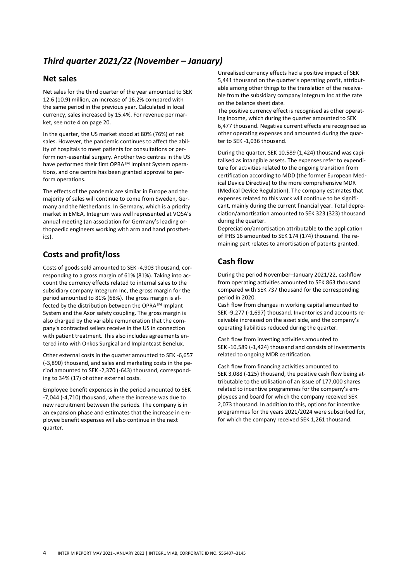## *Third quarter 2021/22 (November – January)*

### **Net sales**

Net sales for the third quarter of the year amounted to SEK 12.6 (10.9) million, an increase of 16.2% compared with the same period in the previous year. Calculated in local currency, sales increased by 15.4%. For revenue per market, see note 4 on page 20.

In the quarter, the US market stood at 80% (76%) of net sales. However, the pandemic continues to affect the ability of hospitals to meet patients for consultations or perform non-essential surgery. Another two centres in the US have performed their first OPRATM Implant System operations, and one centre has been granted approval to perform operations.

The effects of the pandemic are similar in Europe and the majority of sales will continue to come from Sweden, Germany and the Netherlands. In Germany, which is a priority market in EMEA, Integrum was well represented at VQSA's annual meeting (an association for Germany's leading orthopaedic engineers working with arm and hand prosthetics).

## **Costs and profit/loss**

Costs of goods sold amounted to SEK -4,903 thousand, corresponding to a gross margin of 61% (81%). Taking into account the currency effects related to internal sales to the subsidiary company Integrum Inc, the gross margin for the period amounted to 81% (68%). The gross margin is affected by the distribution between the OPRA™ Implant System and the Axor safety coupling. The gross margin is also charged by the variable remuneration that the company's contracted sellers receive in the US in connection with patient treatment. This also includes agreements entered into with Onkos Surgical and Implantcast Benelux.

Other external costs in the quarter amounted to SEK -6,657 (-3,890) thousand, and sales and marketing costs in the period amounted to SEK -2,370 (-643) thousand, corresponding to 34% (17) of other external costs.

Employee benefit expenses in the period amounted to SEK -7,044 (-4,710) thousand, where the increase was due to new recruitment between the periods. The company is in an expansion phase and estimates that the increase in employee benefit expenses will also continue in the next quarter.

Unrealised currency effects had a positive impact of SEK 5,441 thousand on the quarter's operating profit, attributable among other things to the translation of the receivable from the subsidiary company Integrum Inc at the rate on the balance sheet date.

The positive currency effect is recognised as other operating income, which during the quarter amounted to SEK 6,477 thousand. Negative current effects are recognised as other operating expenses and amounted during the quarter to SEK -1,036 thousand.

During the quarter, SEK 10,589 (1,424) thousand was capitalised as intangible assets. The expenses refer to expenditure for activities related to the ongoing transition from certification according to MDD (the former European Medical Device Directive) to the more comprehensive MDR (Medical Device Regulation). The company estimates that expenses related to this work will continue to be significant, mainly during the current financial year. Total depreciation/amortisation amounted to SEK 323 (323) thousand during the quarter.

Depreciation/amortisation attributable to the application of IFRS 16 amounted to SEK 174 (174) thousand. The remaining part relates to amortisation of patents granted.

## **Cash flow**

During the period November–January 2021/22, cashflow from operating activities amounted to SEK 863 thousand compared with SEK 737 thousand for the corresponding period in 2020.

Cash flow from changes in working capital amounted to SEK -9,277 (-1,697) thousand. Inventories and accounts receivable increased on the asset side, and the company's operating liabilities reduced during the quarter.

Cash flow from investing activities amounted to SEK -10,589 (-1,424) thousand and consists of investments related to ongoing MDR certification.

Cash flow from financing activities amounted to SEK 3,088 (-125) thousand, the positive cash flow being attributable to the utilisation of an issue of 177,000 shares related to incentive programmes for the company's employees and board for which the company received SEK 2,073 thousand. In addition to this, options for incentive programmes for the years 2021/2024 were subscribed for, for which the company received SEK 1,261 thousand.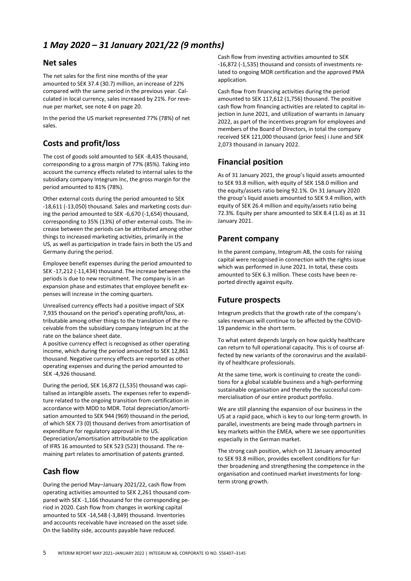## *1 May 2020 – 31 January 2021/22 (9 months)*

### **Net sales**

The net sales for the first nine months of the year amounted to SEK 37.4 (30.7) million, an increase of 22% compared with the same period in the previous year. Calculated in local currency, sales increased by 21%. For revenue per market, see note 4 on page 20.

In the period the US market represented 77% (78%) of net sales.

## **Costs and profit/loss**

The cost of goods sold amounted to SEK -8,435 thousand, corresponding to a gross margin of 77% (85%). Taking into account the currency effects related to internal sales to the subsidiary company Integrum Inc, the gross margin for the period amounted to 81% (78%).

Other external costs during the period amounted to SEK -18,611 (-13,050) thousand. Sales and marketing costs during the period amounted to SEK -6,670 (-1,654) thousand, corresponding to 35% (13%) of other external costs. The increase between the periods can be attributed among other things to increased marketing activities, primarily in the US, as well as participation in trade fairs in both the US and Germany during the period.

Employee benefit expenses during the period amounted to SEK -17,212 (-11,434) thousand. The increase between the periods is due to new recruitment. The company is in an expansion phase and estimates that employee benefit expenses will increase in the coming quarters.

Unrealised currency effects had a positive impact of SEK 7,935 thousand on the period's operating profit/loss, attributable among other things to the translation of the receivable from the subsidiary company Integrum Inc at the rate on the balance sheet date.

A positive currency effect is recognised as other operating income, which during the period amounted to SEK 12,861 thousand. Negative currency effects are reported as other operating expenses and during the period amounted to SEK -4,926 thousand.

During the period, SEK 16,872 (1,535) thousand was capitalised as intangible assets. The expenses refer to expenditure related to the ongoing transition from certification in accordance with MDD to MDR. Total depreciation/amortisation amounted to SEK 944 (969) thousand in the period, of which SEK 73 (0) thousand derives from amortisation of expenditure for regulatory approval in the US.

Depreciation/amortisation attributable to the application of IFRS 16 amounted to SEK 523 (523) thousand. The remaining part relates to amortisation of patents granted.

## **Cash flow**

During the period May–January 2021/22, cash flow from operating activities amounted to SEK 2,261 thousand compared with SEK -1,166 thousand for the corresponding period in 2020. Cash flow from changes in working capital amounted to SEK -14,548 (-3,849) thousand. Inventories and accounts receivable have increased on the asset side. On the liability side, accounts payable have reduced.

Cash flow from investing activities amounted to SEK -16,872 (-1,535) thousand and consists of investments related to ongoing MDR certification and the approved PMA application.

Cash flow from financing activities during the period amounted to SEK 117,612 (1,756) thousand. The positive cash flow from financing activities are related to capital injection in June 2021, and utilization of warrants in January 2022, as part of the incentives program for employees and members of the Board of Directors, in total the company received SEK 121,000 thousand (prior fees) i June and SEK 2,073 thousand in January 2022.

## **Financial position**

As of 31 January 2021, the group's liquid assets amounted to SEK 93.8 million, with equity of SEK 158.0 million and the equity/assets ratio being 92.1%. On 31 January 2020 the group's liquid assets amounted to SEK 9.4 million, with equity of SEK 26.4 million and equity/assets ratio being 72.3%. Equity per share amounted to SEK 8.4 (1.6) as at 31 January 2021.

## **Parent company**

In the parent company, Integrum AB, the costs for raising capital were recognised in connection with the rights issue which was performed in June 2021. In total, these costs amounted to SEK 6.3 million. These costs have been reported directly against equity.

### **Future prospects**

Integrum predicts that the growth rate of the company's sales revenues will continue to be affected by the COVID-19 pandemic in the short term.

To what extent depends largely on how quickly healthcare can return to full operational capacity. This is of course affected by new variants of the coronavirus and the availability of healthcare professionals.

At the same time, work is continuing to create the conditions for a global scalable business and a high-performing sustainable organisation and thereby the successful commercialisation of our entire product portfolio.

We are still planning the expansion of our business in the US at a rapid pace, which is key to our long-term growth. In parallel, investments are being made through partners in key markets within the EMEA, where we see opportunities especially in the German market.

The strong cash position, which on 31 January amounted to SEK 93.8 million, provides excellent conditions for further broadening and strengthening the competence in the organisation and continued market investments for longterm strong growth.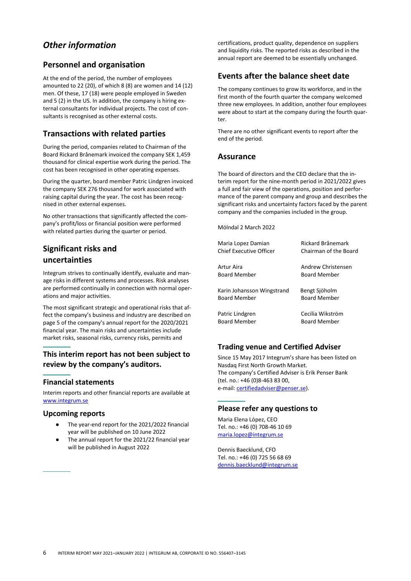## *Other information*

## **Personnel and organisation**

At the end of the period, the number of employees amounted to 22 (20), of which 8 (8) are women and 14 (12) men. Of these, 17 (18) were people employed in Sweden and 5 (2) in the US. In addition, the company is hiring external consultants for individual projects. The cost of consultants is recognised as other external costs.

## **Transactions with related parties**

During the period, companies related to Chairman of the Board Rickard Brånemark invoiced the company SEK 1,459 thousand for clinical expertise work during the period. The cost has been recognised in other operating expenses.

During the quarter, board member Patric Lindgren invoiced the company SEK 276 thousand for work associated with raising capital during the year. The cost has been recognised in other external expenses.

No other transactions that significantly affected the company's profit/loss or financial position were performed with related parties during the quarter or period.

## **Significant risks and uncertainties**

Integrum strives to continually identify, evaluate and manage risks in different systems and processes. Risk analyses are performed continually in connection with normal operations and major activities.

The most significant strategic and operational risks that affect the company's business and industry are described on page 5 of the company's annual report for the 2020/2021 financial year. The main risks and uncertainties include market risks, seasonal risks, currency risks, permits and

## **This interim report has not been subject to review by the company's auditors.**

#### **Financial statements**

Interim reports and other financial reports are available at [www.integrum.se](https://integrum.se/investor-relations/financial-reports-calendar/)

#### **Upcoming reports**

- The year-end report for the 2021/2022 financial year will be published on 10 June 2022
- The annual report for the 2021/22 financial year will be published in August 2022

certifications, product quality, dependence on suppliers and liquidity risks. The reported risks as described in the annual report are deemed to be essentially unchanged.

### **Events after the balance sheet date**

The company continues to grow its workforce, and in the first month of the fourth quarter the company welcomed three new employees. In addition, another four employees were about to start at the company during the fourth quarter.

There are no other significant events to report after the end of the period.

#### **Assurance**

The board of directors and the CEO declare that the interim report for the nine-month period in 2021/2022 gives a full and fair view of the operations, position and performance of the parent company and group and describes the significant risks and uncertainty factors faced by the parent company and the companies included in the group.

Mölndal 2 March 2022

| Maria Lopez Damian         | Rickard Brånemark     |  |  |  |  |
|----------------------------|-----------------------|--|--|--|--|
| Chief Executive Officer    | Chairman of the Board |  |  |  |  |
| Artur Aira                 | Andrew Christensen    |  |  |  |  |
| <b>Board Member</b>        | <b>Board Member</b>   |  |  |  |  |
| Karin Johansson Wingstrand | Bengt Sjöholm         |  |  |  |  |
| <b>Board Member</b>        | <b>Board Member</b>   |  |  |  |  |
| Patric Lindgren            | Cecilia Wikström      |  |  |  |  |
| <b>Board Member</b>        | <b>Board Member</b>   |  |  |  |  |

### **Trading venue and Certified Adviser**

Since 15 May 2017 Integrum's share has been listed on Nasdaq First North Growth Market. The company's Certified Adviser is Erik Penser Bank (tel. no.: +46 (0)8-463 83 00, e-mail: [certifiedadviser@penser.se\)](mailto:certifiedadviser@penser.se).

## **Please refer any questions to**

Maria Elena López, CEO Tel. no.: +46 (0) 708-46 10 69 [maria.lopez@integrum.se](mailto:maria.lopez@integrum.se)

Dennis Baecklund, CFO Tel. no.: +46 (0) 725 56 68 69 [dennis.baecklund@integrum.se](mailto:dennis.baecklund@integrum.se)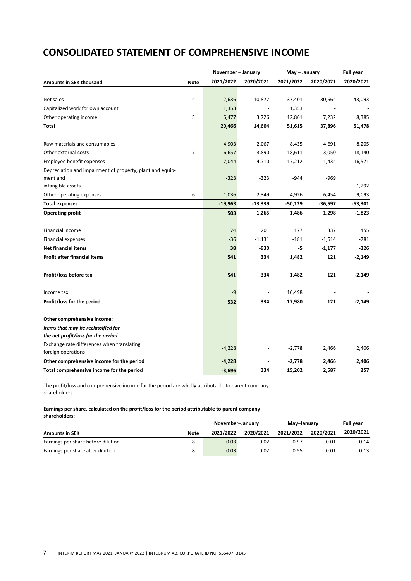## **CONSOLIDATED STATEMENT OF COMPREHENSIVE INCOME**

|                                                           |             | November - January |           | May - January | <b>Full year</b> |           |
|-----------------------------------------------------------|-------------|--------------------|-----------|---------------|------------------|-----------|
| <b>Amounts in SEK thousand</b>                            | <b>Note</b> | 2021/2022          | 2020/2021 | 2021/2022     | 2020/2021        | 2020/2021 |
|                                                           |             |                    |           |               |                  |           |
| Net sales                                                 | 4           | 12,636             | 10,877    | 37,401        | 30,664           | 43,093    |
| Capitalized work for own account                          |             | 1,353              |           | 1,353         |                  |           |
| Other operating income                                    | 5           | 6,477              | 3,726     | 12,861        | 7,232            | 8,385     |
| Total                                                     |             | 20,466             | 14,604    | 51,615        | 37,896           | 51,478    |
| Raw materials and consumables                             |             | $-4,903$           | $-2,067$  | $-8,435$      | $-4,691$         | $-8,205$  |
| Other external costs                                      | 7           | $-6,657$           | $-3,890$  | $-18,611$     | $-13,050$        | $-18,140$ |
| Employee benefit expenses                                 |             | $-7,044$           | $-4,710$  | $-17,212$     | $-11,434$        | $-16,571$ |
| Depreciation and impairment of property, plant and equip- |             |                    |           |               |                  |           |
| ment and                                                  |             | $-323$             | $-323$    | $-944$        | $-969$           |           |
| intangible assets                                         |             |                    |           |               |                  | $-1,292$  |
| Other operating expenses                                  | 6           | $-1,036$           | $-2,349$  | $-4,926$      | $-6,454$         | $-9,093$  |
| <b>Total expenses</b>                                     |             | $-19,963$          | $-13,339$ | $-50,129$     | $-36,597$        | $-53,301$ |
| <b>Operating profit</b>                                   |             | 503                | 1,265     | 1,486         | 1,298            | $-1,823$  |
| <b>Financial income</b>                                   |             | 74                 | 201       | 177           | 337              | 455       |
| <b>Financial expenses</b>                                 |             | $-36$              | $-1,131$  | $-181$        | $-1,514$         | $-781$    |
| <b>Net financial items</b>                                |             | 38                 | -930      | -5            | $-1,177$         | $-326$    |
| Profit after financial items                              |             | 541                | 334       | 1,482         | 121              | $-2,149$  |
| Profit/loss before tax                                    |             | 541                | 334       | 1,482         | 121              | $-2,149$  |
| Income tax                                                |             | -9                 |           | 16,498        |                  |           |
| Profit/loss for the period                                |             | 532                | 334       | 17,980        | 121              | $-2,149$  |
| Other comprehensive income:                               |             |                    |           |               |                  |           |
| Items that may be reclassified for                        |             |                    |           |               |                  |           |
| the net profit/loss for the period                        |             |                    |           |               |                  |           |
| Exchange rate differences when translating                |             |                    |           |               |                  |           |
| foreign operations                                        |             | $-4,228$           |           | $-2,778$      | 2,466            | 2,406     |
| Other comprehensive income for the period                 |             | $-4,228$           | ÷,        | $-2,778$      | 2,466            | 2,406     |
| Total comprehensive income for the period                 |             | $-3,696$           | 334       | 15,202        | 2,587            | 257       |

The profit/loss and comprehensive income for the period are wholly attributable to parent company shareholders.

#### **Earnings per share, calculated on the profit/loss for the period attributable to parent company shareholders:**

|                                    |             | November-January |           | May-January | <b>Full vear</b> |           |
|------------------------------------|-------------|------------------|-----------|-------------|------------------|-----------|
| <b>Amounts in SEK</b>              | <b>Note</b> | 2021/2022        | 2020/2021 | 2021/2022   | 2020/2021        | 2020/2021 |
| Earnings per share before dilution |             | 0.03             | 0.02      | 0.97        | 0.01             | $-0.14$   |
| Earnings per share after dilution  |             | 0.03             | 0.02      | 0.95        | 0.01             | $-0.13$   |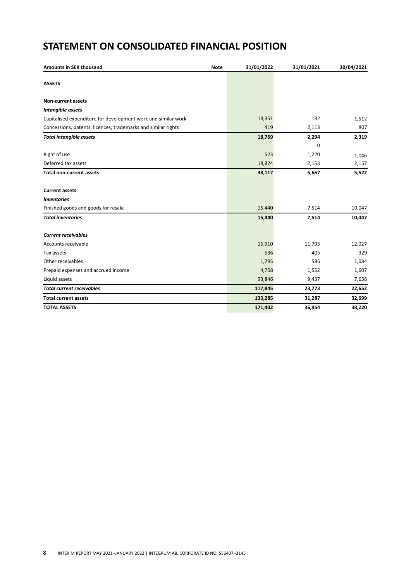## **STATEMENT ON CONSOLIDATED FINANCIAL POSITION**

| Amounts in SEK thousand                                       | <b>Note</b> | 31/01/2022 | 31/01/2021 | 30/04/2021 |
|---------------------------------------------------------------|-------------|------------|------------|------------|
| <b>ASSETS</b>                                                 |             |            |            |            |
| <b>Non-current assets</b>                                     |             |            |            |            |
| Intangible assets                                             |             |            |            |            |
| Capitalised expenditure for development work and similar work |             | 18,351     | 182        | 1,512      |
| Concessions, patents, licences, trademarks and similar rights |             | 419        | 2,113      | 807        |
| <b>Total intangible assets</b>                                |             | 18,769     | 2,294      | 2,319      |
|                                                               |             |            | 0          |            |
| Right of use                                                  |             | 523        | 1,220      | 1,046      |
| Deferred tax assets                                           |             | 18,824     | 2,153      | 2,157      |
| <b>Total non-current assets</b>                               |             | 38,117     | 5,667      | 5,522      |
| <b>Current assets</b>                                         |             |            |            |            |
| <b>Inventories</b>                                            |             |            |            |            |
| Finished goods and goods for resale                           |             | 15,440     | 7,514      | 10,047     |
| <b>Total inventories</b>                                      |             | 15,440     | 7,514      | 10,047     |
| <b>Current receivables</b>                                    |             |            |            |            |
| Accounts receivable                                           |             | 16,910     | 11,793     | 12,027     |
| Tax assets                                                    |             | 536        | 405        | 329        |
| Other receivables                                             |             | 1,795      | 586        | 1,034      |
| Prepaid expenses and accrued income                           |             | 4,758      | 1,552      | 1,607      |
| Liquid assets                                                 |             | 93,846     | 9,437      | 7,658      |
| <b>Total current receivables</b>                              |             | 117,845    | 23,773     | 22,652     |
| <b>Total current assets</b>                                   |             | 133,285    | 31,287     | 32,699     |
| <b>TOTAL ASSETS</b>                                           |             | 171,402    | 36,954     | 38,220     |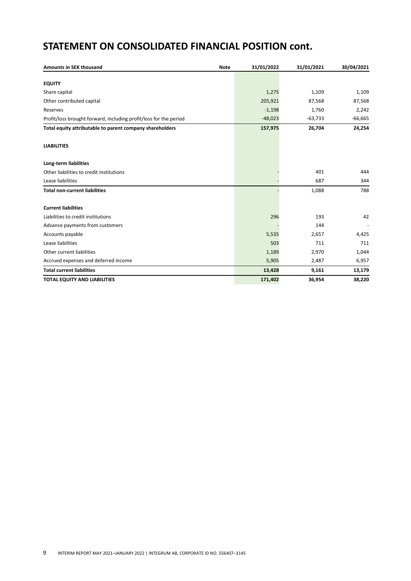## **STATEMENT ON CONSOLIDATED FINANCIAL POSITION cont.**

| <b>Amounts in SEK thousand</b>                                    | <b>Note</b> | 31/01/2022 | 31/01/2021 | 30/04/2021 |
|-------------------------------------------------------------------|-------------|------------|------------|------------|
|                                                                   |             |            |            |            |
| <b>EQUITY</b>                                                     |             |            |            |            |
| Share capital                                                     |             | 1,275      | 1,109      | 1,109      |
| Other contributed capital                                         |             | 205,921    | 87,568     | 87,568     |
| Reserves                                                          |             | $-1,198$   | 1,760      | 2,242      |
| Profit/loss brought forward, including profit/loss for the period |             | $-48,023$  | $-63,733$  | $-66,665$  |
| Total equity attributable to parent company shareholders          |             | 157,975    | 26,704     | 24,254     |
| <b>LIABILITIES</b>                                                |             |            |            |            |
| Long-term liabilities                                             |             |            |            |            |
| Other liabilities to credit institutions                          |             |            | 401        | 444        |
| Lease liabilities                                                 |             |            | 687        | 344        |
| <b>Total non-current liabilities</b>                              |             |            | 1,088      | 788        |
| <b>Current liabilities</b>                                        |             |            |            |            |
| Liabilities to credit institutions                                |             | 296        | 193        | 42         |
| Advance payments from customers                                   |             |            | 144        |            |
| Accounts payable                                                  |             | 5,535      | 2,657      | 4,425      |
| Lease liabilities                                                 |             | 503        | 711        | 711        |
| Other current liabilities                                         |             | 1,189      | 2,970      | 1,044      |
| Accrued expenses and deferred income                              |             | 5,905      | 2,487      | 6,957      |
| <b>Total current liabilities</b>                                  |             | 13,428     | 9,161      | 13,179     |
| <b>TOTAL EQUITY AND LIABILITIES</b>                               |             | 171,402    | 36,954     | 38,220     |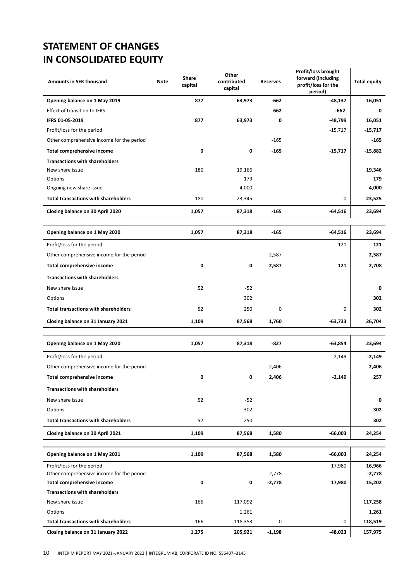## **STATEMENT OF CHANGES IN CONSOLIDATED EQUITY**

| <b>Amounts in SEK thousand</b>                                          | <b>Note</b> | Share<br>capital | Other<br>contributed<br>capital | <b>Reserves</b> | Profit/loss brought<br>forward (including<br>profit/loss for the<br>period) | <b>Total equity</b> |
|-------------------------------------------------------------------------|-------------|------------------|---------------------------------|-----------------|-----------------------------------------------------------------------------|---------------------|
| Opening balance on 1 May 2019                                           |             | 877              | 63,973                          | $-662$          | $-48,137$                                                                   | 16,051              |
| <b>Effect of transition to IFRS</b>                                     |             |                  |                                 | 662             | -662                                                                        | 0                   |
| IFRS 01-05-2019                                                         |             | 877              | 63,973                          | 0               | -48,799                                                                     | 16,051              |
| Profit/loss for the period                                              |             |                  |                                 |                 | $-15,717$                                                                   | $-15,717$           |
| Other comprehensive income for the period                               |             |                  |                                 | $-165$          |                                                                             | -165                |
| Total comprehensive income                                              |             | 0                | 0                               | $-165$          | $-15,717$                                                                   | $-15,882$           |
| <b>Transactions with shareholders</b>                                   |             |                  |                                 |                 |                                                                             |                     |
| New share issue                                                         |             | 180              | 19,166                          |                 |                                                                             | 19,346              |
| Options                                                                 |             |                  | 179                             |                 |                                                                             | 179                 |
| Ongoing new share issue                                                 |             |                  | 4,000                           |                 |                                                                             | 4,000               |
| <b>Total transactions with shareholders</b>                             |             | 180              | 23,345                          |                 | 0                                                                           | 23,525              |
| Closing balance on 30 April 2020                                        |             | 1,057            | 87,318                          | $-165$          | $-64,516$                                                                   | 23,694              |
|                                                                         |             |                  |                                 |                 |                                                                             |                     |
| Opening balance on 1 May 2020                                           |             | 1,057            | 87,318                          | $-165$          | $-64,516$                                                                   | 23,694              |
| Profit/loss for the period                                              |             |                  |                                 |                 | 121                                                                         | 121                 |
| Other comprehensive income for the period                               |             |                  |                                 | 2,587           |                                                                             | 2,587               |
| Total comprehensive income                                              |             | 0                | 0                               | 2,587           | 121                                                                         | 2,708               |
| <b>Transactions with shareholders</b>                                   |             |                  |                                 |                 |                                                                             |                     |
| New share issue                                                         |             | 52               | $-52$                           |                 |                                                                             | 0                   |
| Options                                                                 |             |                  | 302                             |                 |                                                                             | 302                 |
| <b>Total transactions with shareholders</b>                             |             | 52               | 250                             | 0               | 0                                                                           | 302                 |
| Closing balance on 31 January 2021                                      |             | 1,109            | 87,568                          | 1,760           | $-63,733$                                                                   | 26,704              |
|                                                                         |             |                  |                                 |                 |                                                                             |                     |
| Opening balance on 1 May 2020                                           |             | 1,057            | 87,318                          | -827            | $-63,854$                                                                   | 23,694              |
| Profit/loss for the period                                              |             |                  |                                 |                 | $-2,149$                                                                    | $-2,149$            |
| Other comprehensive income for the period                               |             |                  |                                 | 2,406           |                                                                             | 2,406               |
| Total comprehensive income                                              |             | 0                | 0                               | 2,406           | -2,149                                                                      | 257                 |
| <b>Transactions with shareholders</b>                                   |             |                  |                                 |                 |                                                                             |                     |
| New share issue                                                         |             | 52               | $-52$                           |                 |                                                                             | 0                   |
| Options                                                                 |             |                  | 302                             |                 |                                                                             | 302                 |
| <b>Total transactions with shareholders</b>                             |             | 52               | 250                             |                 |                                                                             | 302                 |
| Closing balance on 30 April 2021                                        |             | 1,109            | 87,568                          | 1,580           | $-66,003$                                                                   | 24,254              |
|                                                                         |             |                  |                                 |                 |                                                                             |                     |
| Opening balance on 1 May 2021                                           |             | 1,109            | 87,568                          | 1,580           | $-66,003$                                                                   | 24,254              |
| Profit/loss for the period<br>Other comprehensive income for the period |             |                  |                                 | $-2,778$        | 17,980                                                                      | 16,966<br>$-2,778$  |
| <b>Total comprehensive income</b>                                       |             | 0                | 0                               | $-2,778$        | 17,980                                                                      | 15,202              |
| <b>Transactions with shareholders</b>                                   |             |                  |                                 |                 |                                                                             |                     |
| New share issue                                                         |             | 166              | 117,092                         |                 |                                                                             | 117,258             |
| Options                                                                 |             |                  | 1,261                           |                 |                                                                             | 1,261               |
| <b>Total transactions with shareholders</b>                             |             | 166              | 118,353                         | 0               | 0                                                                           | 118,519             |
| Closing balance on 31 January 2022                                      |             | 1,275            | 205,921                         | $-1,198$        | -48,023                                                                     | 157,975             |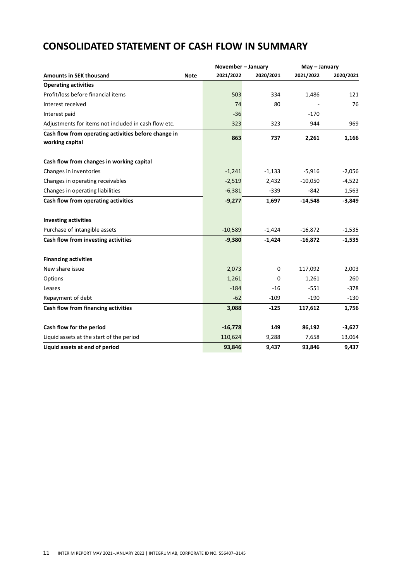|                                                                         | November - January |           |           | May - January |  |  |
|-------------------------------------------------------------------------|--------------------|-----------|-----------|---------------|--|--|
| <b>Amounts in SEK thousand</b><br><b>Note</b>                           | 2021/2022          | 2020/2021 | 2021/2022 | 2020/2021     |  |  |
| <b>Operating activities</b>                                             |                    |           |           |               |  |  |
| Profit/loss before financial items                                      | 503                | 334       | 1,486     | 121           |  |  |
| Interest received                                                       | 74                 | 80        |           | 76            |  |  |
| Interest paid                                                           | $-36$              |           | $-170$    |               |  |  |
| Adjustments for items not included in cash flow etc.                    | 323                | 323       | 944       | 969           |  |  |
| Cash flow from operating activities before change in<br>working capital | 863                | 737       | 2,261     | 1,166         |  |  |
| Cash flow from changes in working capital                               |                    |           |           |               |  |  |
| Changes in inventories                                                  | $-1,241$           | $-1,133$  | $-5,916$  | $-2,056$      |  |  |
| Changes in operating receivables                                        | $-2,519$           | 2,432     | $-10,050$ | $-4,522$      |  |  |
| Changes in operating liabilities                                        | $-6,381$           | $-339$    | $-842$    | 1,563         |  |  |
| Cash flow from operating activities                                     | $-9,277$           | 1,697     | $-14,548$ | $-3,849$      |  |  |
| <b>Investing activities</b>                                             |                    |           |           |               |  |  |
| Purchase of intangible assets                                           | $-10,589$          | $-1,424$  | $-16,872$ | $-1,535$      |  |  |
| Cash flow from investing activities                                     | $-9,380$           | $-1,424$  | $-16,872$ | $-1,535$      |  |  |
| <b>Financing activities</b>                                             |                    |           |           |               |  |  |
| New share issue                                                         | 2,073              | 0         | 117,092   | 2,003         |  |  |
| Options                                                                 | 1,261              | 0         | 1,261     | 260           |  |  |
| Leases                                                                  | $-184$             | -16       | $-551$    | $-378$        |  |  |
| Repayment of debt                                                       | $-62$              | $-109$    | $-190$    | $-130$        |  |  |
| Cash flow from financing activities                                     | 3,088              | $-125$    | 117,612   | 1,756         |  |  |
| Cash flow for the period                                                | $-16,778$          | 149       | 86,192    | $-3,627$      |  |  |
| Liquid assets at the start of the period                                | 110,624            | 9,288     | 7,658     | 13,064        |  |  |
| Liquid assets at end of period                                          | 93,846             | 9,437     | 93,846    | 9,437         |  |  |

## **CONSOLIDATED STATEMENT OF CASH FLOW IN SUMMARY**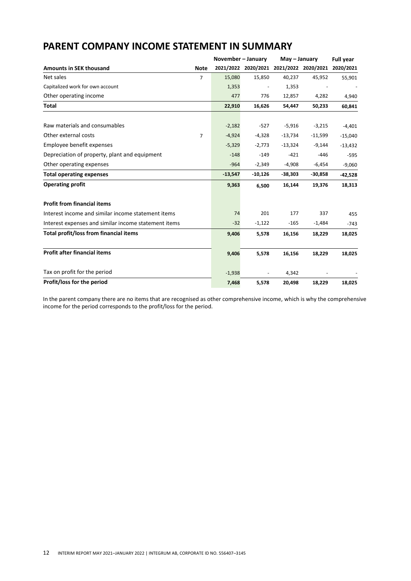|                                                      |                | November - January |                     | May - January | <b>Full year</b>    |           |
|------------------------------------------------------|----------------|--------------------|---------------------|---------------|---------------------|-----------|
| <b>Amounts in SEK thousand</b>                       | <b>Note</b>    |                    | 2021/2022 2020/2021 |               | 2021/2022 2020/2021 | 2020/2021 |
| Net sales                                            | 7              | 15,080             | 15,850              | 40,237        | 45,952              | 55,901    |
| Capitalized work for own account                     |                | 1,353              |                     | 1,353         |                     |           |
| Other operating income                               |                | 477                | 776                 | 12,857        | 4,282               | 4,940     |
| Total                                                |                | 22,910             | 16,626              | 54,447        | 50,233              | 60,841    |
| Raw materials and consumables                        |                | $-2,182$           | $-527$              | $-5,916$      | $-3,215$            | $-4,401$  |
| Other external costs                                 | $\overline{7}$ | $-4,924$           | $-4,328$            | $-13,734$     | $-11,599$           | $-15,040$ |
| Employee benefit expenses                            |                | $-5,329$           | $-2,773$            | $-13,324$     | $-9,144$            | $-13,432$ |
| Depreciation of property, plant and equipment        |                | $-148$             | $-149$              | $-421$        | -446                | $-595$    |
| Other operating expenses                             |                | $-964$             | $-2,349$            | $-4,908$      | $-6,454$            | $-9,060$  |
| <b>Total operating expenses</b>                      |                | $-13,547$          | $-10,126$           | $-38,303$     | $-30,858$           | $-42,528$ |
| <b>Operating profit</b>                              |                | 9,363              | 6,500               | 16,144        | 19,376              | 18,313    |
| <b>Profit from financial items</b>                   |                |                    |                     |               |                     |           |
| Interest income and similar income statement items   |                | 74                 | 201                 | 177           | 337                 | 455       |
| Interest expenses and similar income statement items |                | $-32$              | $-1,122$            | $-165$        | $-1,484$            | $-743$    |
| Total profit/loss from financial items               |                | 9,406              | 5,578               | 16,156        | 18,229              | 18,025    |
| <b>Profit after financial items</b>                  |                | 9,406              | 5,578               | 16,156        | 18,229              | 18,025    |
| Tax on profit for the period                         |                | $-1,938$           |                     | 4,342         |                     |           |
| Profit/loss for the period                           |                | 7,468              | 5,578               | 20,498        | 18,229              | 18,025    |

## **PARENT COMPANY INCOME STATEMENT IN SUMMARY**

In the parent company there are no items that are recognised as other comprehensive income, which is why the comprehensive income for the period corresponds to the profit/loss for the period.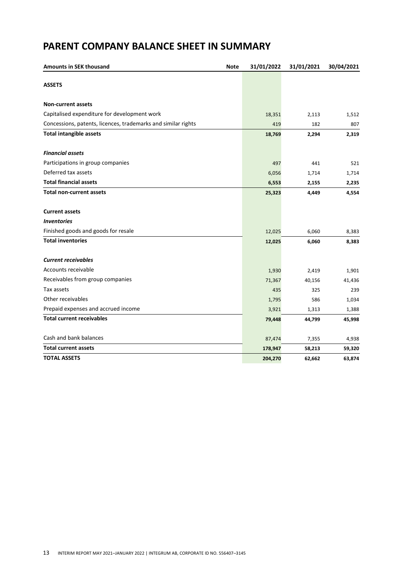## **PARENT COMPANY BALANCE SHEET IN SUMMARY**

| Amounts in SEK thousand                                       | <b>Note</b> | 31/01/2022 | 31/01/2021 | 30/04/2021 |
|---------------------------------------------------------------|-------------|------------|------------|------------|
| <b>ASSETS</b>                                                 |             |            |            |            |
| <b>Non-current assets</b>                                     |             |            |            |            |
| Capitalised expenditure for development work                  |             | 18,351     | 2,113      | 1,512      |
| Concessions, patents, licences, trademarks and similar rights |             | 419        | 182        | 807        |
| <b>Total intangible assets</b>                                |             | 18,769     | 2,294      | 2,319      |
| <b>Financial assets</b>                                       |             |            |            |            |
| Participations in group companies                             |             | 497        | 441        | 521        |
| Deferred tax assets                                           |             | 6,056      | 1,714      | 1,714      |
| <b>Total financial assets</b>                                 |             | 6,553      | 2,155      | 2,235      |
| <b>Total non-current assets</b>                               |             | 25,323     | 4,449      | 4,554      |
| <b>Current assets</b>                                         |             |            |            |            |
| <b>Inventories</b>                                            |             |            |            |            |
| Finished goods and goods for resale                           |             | 12,025     | 6,060      | 8,383      |
| <b>Total inventories</b>                                      |             | 12,025     | 6,060      | 8,383      |
| <b>Current receivables</b>                                    |             |            |            |            |
| Accounts receivable                                           |             | 1,930      | 2,419      | 1,901      |
| Receivables from group companies                              |             | 71,367     | 40,156     | 41,436     |
| Tax assets                                                    |             | 435        | 325        | 239        |
| Other receivables                                             |             | 1,795      | 586        | 1,034      |
| Prepaid expenses and accrued income                           |             | 3,921      | 1,313      | 1,388      |
| <b>Total current receivables</b>                              |             | 79,448     | 44,799     | 45,998     |
| Cash and bank balances                                        |             | 87,474     | 7,355      | 4,938      |
| <b>Total current assets</b>                                   |             | 178,947    | 58,213     | 59,320     |
| <b>TOTAL ASSETS</b>                                           |             | 204,270    | 62,662     | 63,874     |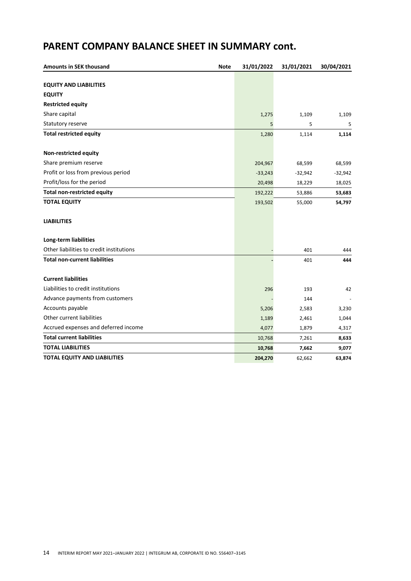## **PARENT COMPANY BALANCE SHEET IN SUMMARY cont.**

| <b>Amounts in SEK thousand</b>           | <b>Note</b> | 31/01/2022 | 31/01/2021 | 30/04/2021 |
|------------------------------------------|-------------|------------|------------|------------|
|                                          |             |            |            |            |
| <b>EQUITY AND LIABILITIES</b>            |             |            |            |            |
| <b>EQUITY</b>                            |             |            |            |            |
| <b>Restricted equity</b>                 |             |            |            |            |
| Share capital                            |             | 1,275      | 1,109      | 1,109      |
| Statutory reserve                        |             | 5          | 5          | 5          |
| <b>Total restricted equity</b>           |             | 1,280      | 1,114      | 1,114      |
| Non-restricted equity                    |             |            |            |            |
| Share premium reserve                    |             | 204,967    | 68,599     | 68,599     |
| Profit or loss from previous period      |             | $-33,243$  | $-32,942$  | $-32,942$  |
| Profit/loss for the period               |             | 20,498     | 18,229     | 18,025     |
| <b>Total non-restricted equity</b>       |             | 192,222    | 53,886     | 53,683     |
| <b>TOTAL EQUITY</b>                      |             | 193,502    | 55,000     | 54,797     |
| <b>LIABILITIES</b>                       |             |            |            |            |
| Long-term liabilities                    |             |            |            |            |
| Other liabilities to credit institutions |             |            | 401        | 444        |
| <b>Total non-current liabilities</b>     |             |            | 401        | 444        |
| <b>Current liabilities</b>               |             |            |            |            |
| Liabilities to credit institutions       |             | 296        | 193        | 42         |
| Advance payments from customers          |             |            | 144        |            |
| Accounts payable                         |             | 5,206      | 2,583      | 3,230      |
| Other current liabilities                |             | 1,189      | 2,461      | 1,044      |
| Accrued expenses and deferred income     |             | 4,077      | 1,879      | 4,317      |
| <b>Total current liabilities</b>         |             | 10,768     | 7,261      | 8,633      |
| <b>TOTAL LIABILITIES</b>                 |             | 10,768     | 7,662      | 9,077      |
| <b>TOTAL EQUITY AND LIABILITIES</b>      |             | 204,270    | 62,662     | 63,874     |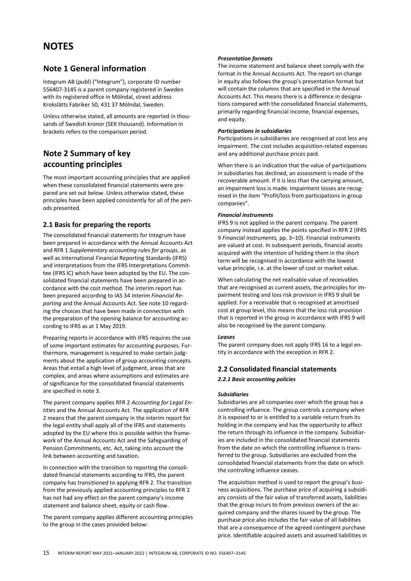## **NOTES**

## **Note 1 General information**

Integrum AB (publ) ("Integrum"), corporate ID number 556407-3145 is a parent company registered in Sweden with its registered office in Mölndal, street address Krokslätts Fabriker 50, 431 37 Mölndal, Sweden.

Unless otherwise stated, all amounts are reported in thousands of Swedish kronor (SEK thousand). Information in brackets refers to the comparison period.

## **Note 2 Summary of key accounting principles**

The most important accounting principles that are applied when these consolidated financial statements were prepared are set out below. Unless otherwise stated, these principles have been applied consistently for all of the periods presented.

### **2.1 Basis for preparing the reports**

The consolidated financial statements for Integrum have been prepared in accordance with the Annual Accounts Act and RFR 1 *Supplementary accounting rules for groups*, as well as International Financial Reporting Standards (IFRS) and interpretations from the IFRS Interpretations Committee (IFRS IC) which have been adopted by the EU. The consolidated financial statements have been prepared in accordance with the cost method. The interim report has been prepared according to IAS 34 *Interim Financial Reporting* and the Annual Accounts Act. See note 10 regarding the choices that have been made in connection with the preparation of the opening balance for accounting according to IFRS as at 1 May 2019.

Preparing reports in accordance with IFRS requires the use of some important estimates for accounting purposes. Furthermore, management is required to make certain judgments about the application of group accounting concepts. Areas that entail a high level of judgment, areas that are complex, and areas where assumptions and estimates are of significance for the consolidated financial statements are specified in note 3.

The parent company applies RFR 2 *Accounting for Legal Entities* and the Annual Accounts Act. The application of RFR 2 means that the parent company in the interim report for the legal entity shall apply all of the IFRS and statements adopted by the EU where this is possible within the framework of the Annual Accounts Act and the Safeguarding of Pension Commitments, etc. Act, taking into account the link between accounting and taxation.

In connection with the transition to reporting the consolidated financial statements according to IFRS, the parent company has transitioned to applying RFR 2. The transition from the previously applied accounting principles to RFR 2 has not had any effect on the parent company's income statement and balance sheet, equity or cash flow.

The parent company applies different accounting principles to the group in the cases provided below:

#### *Presentation formats*

The income statement and balance sheet comply with the format in the Annual Accounts Act. The report on change in equity also follows the group's presentation format but will contain the columns that are specified in the Annual Accounts Act. This means there is a difference in designations compared with the consolidated financial statements, primarily regarding financial income, financial expenses, and equity.

#### *Participations in subsidiaries*

Participations in subsidiaries are recognised at cost less any impairment. The cost includes acquisition-related expenses and any additional purchase prices paid.

When there is an indication that the value of participations in subsidiaries has declined, an assessment is made of the recoverable amount. If it is less than the carrying amount, an impairment loss is made. Impairment losses are recognised in the item "Profit/loss from participations in group companies".

#### *Financial instruments*

IFRS 9 is not applied in the parent company. The parent company instead applies the points specified in RFR 2 (IFRS 9 *Financial instruments,* pp. 3–10). Financial instruments are valued at cost. In subsequent periods, financial assets acquired with the intention of holding them in the short term will be recognised in accordance with the lowest value principle, i.e. at the lower of cost or market value.

When calculating the net realisable value of receivables that are recognised as current assets, the principles for impairment testing and loss risk provision in IFRS 9 shall be applied. For a receivable that is recognised at amortised cost at group level, this means that the loss risk provision that is reported in the group in accordance with IFRS 9 will also be recognised by the parent company.

#### *Leases*

The parent company does not apply IFRS 16 to a legal entity in accordance with the exception in RFR 2.

### **2.2 Consolidated financial statements**

#### *2.2.1 Basic accounting policies*

#### *Subsidiaries*

Subsidiaries are all companies over which the group has a controlling influence. The group controls a company when it is exposed to or is entitled to a variable return from its holding in the company and has the opportunity to affect the return through its influence in the company. Subsidiaries are included in the consolidated financial statements from the date on which the controlling influence is transferred to the group. Subsidiaries are excluded from the consolidated financial statements from the date on which the controlling influence ceases.

The acquisition method is used to report the group's business acquisitions. The purchase price of acquiring a subsidiary consists of the fair value of transferred assets, liabilities that the group incurs to from previous owners of the acquired company and the shares issued by the group. The purchase price also includes the fair value of all liabilities that are a consequence of the agreed contingent purchase price. Identifiable acquired assets and assumed liabilities in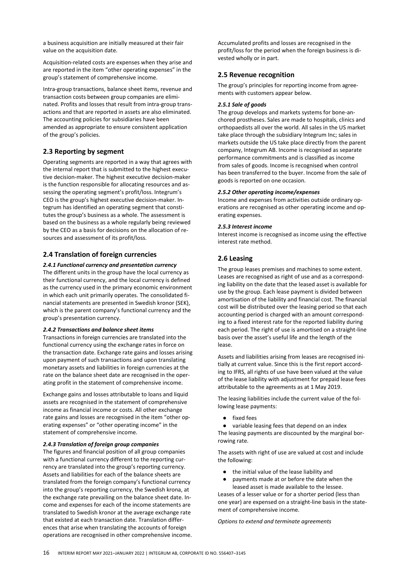a business acquisition are initially measured at their fair value on the acquisition date.

Acquisition-related costs are expenses when they arise and are reported in the item "other operating expenses" in the group's statement of comprehensive income.

Intra-group transactions, balance sheet items, revenue and transaction costs between group companies are eliminated. Profits and losses that result from intra-group transactions and that are reported in assets are also eliminated. The accounting policies for subsidiaries have been amended as appropriate to ensure consistent application of the group's policies.

#### **2.3 Reporting by segment**

Operating segments are reported in a way that agrees with the internal report that is submitted to the highest executive decision-maker. The highest executive decision-maker is the function responsible for allocating resources and assessing the operating segment's profit/loss. Integrum's CEO is the group's highest executive decision-maker. Integrum has identified an operating segment that constitutes the group's business as a whole. The assessment is based on the business as a whole regularly being reviewed by the CEO as a basis for decisions on the allocation of resources and assessment of its profit/loss.

#### **2.4 Translation of foreign currencies**

*2.4.1 Functional currency and presentation currency* The different units in the group have the local currency as their functional currency, and the local currency is defined as the currency used in the primary economic environment in which each unit primarily operates. The consolidated financial statements are presented in Swedish kronor (SEK), which is the parent company's functional currency and the

#### *2.4.2 Transactions and balance sheet items*

group's presentation currency.

Transactions in foreign currencies are translated into the functional currency using the exchange rates in force on the transaction date. Exchange rate gains and losses arising upon payment of such transactions and upon translating monetary assets and liabilities in foreign currencies at the rate on the balance sheet date are recognised in the operating profit in the statement of comprehensive income.

Exchange gains and losses attributable to loans and liquid assets are recognised in the statement of comprehensive income as financial income or costs. All other exchange rate gains and losses are recognised in the item "other operating expenses" or "other operating income" in the statement of comprehensive income.

#### *2.4.3 Translation of foreign group companies*

The figures and financial position of all group companies with a functional currency different to the reporting currency are translated into the group's reporting currency. Assets and liabilities for each of the balance sheets are translated from the foreign company's functional currency into the group's reporting currency, the Swedish krona, at the exchange rate prevailing on the balance sheet date. Income and expenses for each of the income statements are translated to Swedish kronor at the average exchange rate that existed at each transaction date. Translation differences that arise when translating the accounts of foreign operations are recognised in other comprehensive income. Accumulated profits and losses are recognised in the profit/loss for the period when the foreign business is divested wholly or in part.

#### **2.5 Revenue recognition**

The group's principles for reporting income from agreements with customers appear below.

#### *2.5.1 Sale of goods*

The group develops and markets systems for bone-anchored prostheses. Sales are made to hospitals, clinics and orthopaedists all over the world. All sales in the US market take place through the subsidiary Integrum Inc; sales in markets outside the US take place directly from the parent company, Integrum AB. Income is recognised as separate performance commitments and is classified as income from sales of goods. Income is recognised when control has been transferred to the buyer. Income from the sale of goods is reported on one occasion.

#### *2.5.2 Other operating income/expenses*

Income and expenses from activities outside ordinary operations are recognised as other operating income and operating expenses.

#### *2.5.3 Interest income*

Interest income is recognised as income using the effective interest rate method.

#### **2.6 Leasing**

The group leases premises and machines to some extent. Leases are recognised as right of use and as a corresponding liability on the date that the leased asset is available for use by the group. Each lease payment is divided between amortisation of the liability and financial cost. The financial cost will be distributed over the leasing period so that each accounting period is charged with an amount corresponding to a fixed interest rate for the reported liability during each period. The right of use is amortised on a straight-line basis over the asset's useful life and the length of the lease.

Assets and liabilities arising from leases are recognised initially at current value. Since this is the first report according to IFRS, all rights of use have been valued at the value of the lease liability with adjustment for prepaid lease fees attributable to the agreements as at 1 May 2019.

The leasing liabilities include the current value of the following lease payments:

fixed fees

variable leasing fees that depend on an index The leasing payments are discounted by the marginal borrowing rate.

The assets with right of use are valued at cost and include the following:

- the initial value of the lease liability and
- payments made at or before the date when the leased asset is made available to the lessee.

Leases of a lesser value or for a shorter period (less than one year) are expensed on a straight-line basis in the statement of comprehensive income.

*Options to extend and terminate agreements*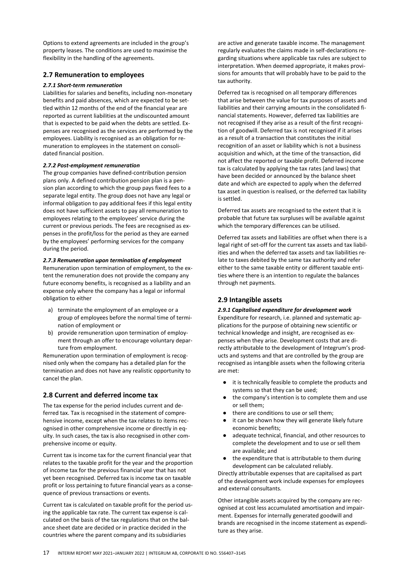Options to extend agreements are included in the group's property leases. The conditions are used to maximise the flexibility in the handling of the agreements.

#### **2.7 Remuneration to employees**

#### *2.7.1 Short-term remuneration*

Liabilities for salaries and benefits, including non-monetary benefits and paid absences, which are expected to be settled within 12 months of the end of the financial year are reported as current liabilities at the undiscounted amount that is expected to be paid when the debts are settled. Expenses are recognised as the services are performed by the employees. Liability is recognised as an obligation for remuneration to employees in the statement on consolidated financial position.

#### *2.7.2 Post-employment remuneration*

The group companies have defined-contribution pension plans only. A defined contribution pension plan is a pension plan according to which the group pays fixed fees to a separate legal entity. The group does not have any legal or informal obligation to pay additional fees if this legal entity does not have sufficient assets to pay all remuneration to employees relating to the employees' service during the current or previous periods. The fees are recognised as expenses in the profit/loss for the period as they are earned by the employees' performing services for the company during the period.

#### *2.7.3 Remuneration upon termination of employment*

Remuneration upon termination of employment, to the extent the remuneration does not provide the company any future economy benefits, is recognised as a liability and an expense only where the company has a legal or informal obligation to either

- a) terminate the employment of an employee or a group of employees before the normal time of termination of employment or
- b) provide remuneration upon termination of employment through an offer to encourage voluntary departure from employment.

Remuneration upon termination of employment is recognised only when the company has a detailed plan for the termination and does not have any realistic opportunity to cancel the plan.

#### **2.8 Current and deferred income tax**

The tax expense for the period includes current and deferred tax. Tax is recognised in the statement of comprehensive income, except when the tax relates to items recognised in other comprehensive income or directly in equity. In such cases, the tax is also recognised in other comprehensive income or equity.

Current tax is income tax for the current financial year that relates to the taxable profit for the year and the proportion of income tax for the previous financial year that has not yet been recognised. Deferred tax is income tax on taxable profit or loss pertaining to future financial years as a consequence of previous transactions or events.

Current tax is calculated on taxable profit for the period using the applicable tax rate. The current tax expense is calculated on the basis of the tax regulations that on the balance sheet date are decided or in practice decided in the countries where the parent company and its subsidiaries

are active and generate taxable income. The management regularly evaluates the claims made in self-declarations regarding situations where applicable tax rules are subject to interpretation. When deemed appropriate, it makes provisions for amounts that will probably have to be paid to the tax authority.

Deferred tax is recognised on all temporary differences that arise between the value for tax purposes of assets and liabilities and their carrying amounts in the consolidated financial statements. However, deferred tax liabilities are not recognised if they arise as a result of the first recognition of goodwill. Deferred tax is not recognised if it arises as a result of a transaction that constitutes the initial recognition of an asset or liability which is not a business acquisition and which, at the time of the transaction, did not affect the reported or taxable profit. Deferred income tax is calculated by applying the tax rates (and laws) that have been decided or announced by the balance sheet date and which are expected to apply when the deferred tax asset in question is realised, or the deferred tax liability is settled.

Deferred tax assets are recognised to the extent that it is probable that future tax surpluses will be available against which the temporary differences can be utilised.

Deferred tax assets and liabilities are offset when there is a legal right of set-off for the current tax assets and tax liabilities and when the deferred tax assets and tax liabilities relate to taxes debited by the same tax authority and refer either to the same taxable entity or different taxable entities where there is an intention to regulate the balances through net payments.

#### **2.9 Intangible assets**

#### *2.9.1 Capitalised expenditure for development work*

Expenditure for research, i.e. planned and systematic applications for the purpose of obtaining new scientific or technical knowledge and insight, are recognised as expenses when they arise. Development costs that are directly attributable to the development of Integrum's products and systems and that are controlled by the group are recognised as intangible assets when the following criteria are met:

- it is technically feasible to complete the products and systems so that they can be used;
- the company's intention is to complete them and use or sell them;
- there are conditions to use or sell them:
- it can be shown how they will generate likely future economic benefits;
- adequate technical, financial, and other resources to complete the development and to use or sell them are available; and
- the expenditure that is attributable to them during development can be calculated reliably.

Directly attributable expenses that are capitalised as part of the development work include expenses for employees and external consultants.

Other intangible assets acquired by the company are recognised at cost less accumulated amortisation and impairment. Expenses for internally generated goodwill and brands are recognised in the income statement as expenditure as they arise.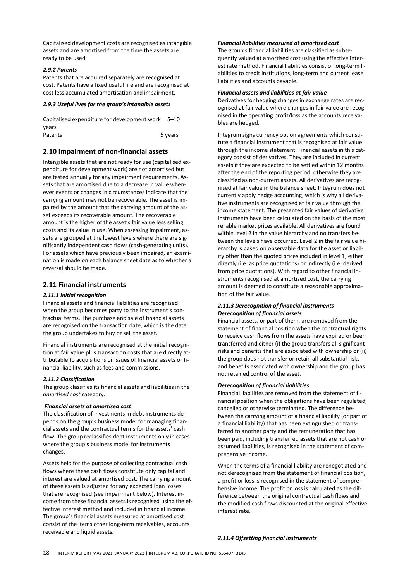Capitalised development costs are recognised as intangible assets and are amortised from the time the assets are ready to be used.

#### *2.9.2 Patents*

Patents that are acquired separately are recognised at cost. Patents have a fixed useful life and are recognised at cost less accumulated amortisation and impairment.

#### *2.9.3 Useful lives for the group's intangible assets*

Capitalised expenditure for development work 5–10 years Patents 5 years

#### **2.10 Impairment of non-financial assets**

Intangible assets that are not ready for use (capitalised expenditure for development work) are not amortised but are tested annually for any impairment requirements. Assets that are amortised due to a decrease in value whenever events or changes in circumstances indicate that the carrying amount may not be recoverable. The asset is impaired by the amount that the carrying amount of the asset exceeds its recoverable amount. The recoverable amount is the higher of the asset's fair value less selling costs and its value in use. When assessing impairment, assets are grouped at the lowest levels where there are significantly independent cash flows (cash-generating units). For assets which have previously been impaired, an examination is made on each balance sheet date as to whether a reversal should be made.

#### **2.11 Financial instruments**

#### *2.11.1 Initial recognition*

Financial assets and financial liabilities are recognised when the group becomes party to the instrument's contractual terms. The purchase and sale of financial assets are recognised on the transaction date, which is the date the group undertakes to buy or sell the asset.

Financial instruments are recognised at the initial recognition at fair value plus transaction costs that are directly attributable to acquisitions or issues of financial assets or financial liability, such as fees and commissions.

#### *2.11.2 Classification*

The group classifies its financial assets and liabilities in the *amortised cost* category.

#### *Financial assets at amortised cost*

The classification of investments in debt instruments depends on the group's business model for managing financial assets and the contractual terms for the assets' cash flow. The group reclassifies debt instruments only in cases where the group's business model for instruments changes.

Assets held for the purpose of collecting contractual cash flows where these cash flows constitute only capital and interest are valued at amortised cost. The carrying amount of these assets is adjusted for any expected loan losses that are recognised (see impairment below). Interest income from these financial assets is recognised using the effective interest method and included in financial income. The group's financial assets measured at amortised cost consist of the items other long-term receivables, accounts receivable and liquid assets.

#### *Financial liabilities measured at amortised cost*

The group's financial liabilities are classified as subsequently valued at amortised cost using the effective interest rate method. Financial liabilities consist of long-term liabilities to credit institutions, long-term and current lease liabilities and accounts payable.

#### *Financial assets and liabilities at fair value*

Derivatives for hedging changes in exchange rates are recognised at fair value where changes in fair value are recognised in the operating profit/loss as the accounts receivables are hedged.

Integrum signs currency option agreements which constitute a financial instrument that is recognised at fair value through the income statement. Financial assets in this category consist of derivatives. They are included in current assets if they are expected to be settled within 12 months after the end of the reporting period; otherwise they are classified as non-current assets. All derivatives are recognised at fair value in the balance sheet. Integrum does not currently apply hedge accounting, which is why all derivative instruments are recognised at fair value through the income statement. The presented fair values of derivative instruments have been calculated on the basis of the most reliable market prices available. All derivatives are found within level 2 in the value hierarchy and no transfers between the levels have occurred. Level 2 in the fair value hierarchy is based on observable data for the asset or liability other than the quoted prices included in level 1, either directly (i.e. as price quotations) or indirectly (i.e. derived from price quotations). With regard to other financial instruments recognised at amortised cost, the carrying amount is deemed to constitute a reasonable approximation of the fair value.

#### *2.11.3 Derecognition of financial instruments Derecognition of financial assets*

Financial assets, or part of them, are removed from the statement of financial position when the contractual rights to receive cash flows from the assets have expired or been transferred and either (i) the group transfers all significant risks and benefits that are associated with ownership or (ii) the group does not transfer or retain all substantial risks and benefits associated with ownership and the group has not retained control of the asset.

#### *Derecognition of financial liabilities*

Financial liabilities are removed from the statement of financial position when the obligations have been regulated, cancelled or otherwise terminated. The difference between the carrying amount of a financial liability (or part of a financial liability) that has been extinguished or transferred to another party and the remuneration that has been paid, including transferred assets that are not cash or assumed liabilities, is recognised in the statement of comprehensive income.

When the terms of a financial liability are renegotiated and not derecognised from the statement of financial position, a profit or loss is recognised in the statement of comprehensive income. The profit or loss is calculated as the difference between the original contractual cash flows and the modified cash flows discounted at the original effective interest rate.

#### *2.11.4 Offsetting financial instruments*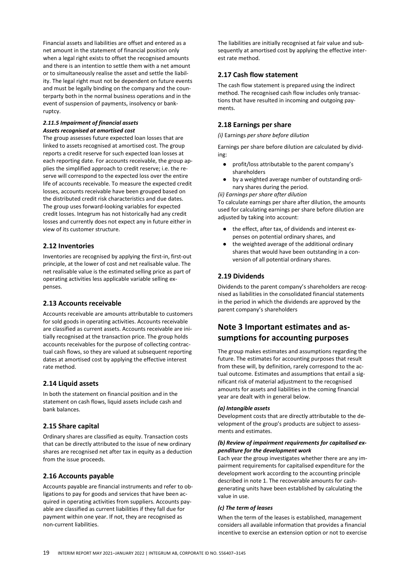Financial assets and liabilities are offset and entered as a net amount in the statement of financial position only when a legal right exists to offset the recognised amounts and there is an intention to settle them with a net amount or to simultaneously realise the asset and settle the liability. The legal right must not be dependent on future events and must be legally binding on the company and the counterparty both in the normal business operations and in the event of suspension of payments, insolvency or bankruptcy.

#### *2.11.5 Impairment of financial assets Assets recognised at amortised cost*

The group assesses future expected loan losses that are linked to assets recognised at amortised cost. The group reports a credit reserve for such expected loan losses at each reporting date. For accounts receivable, the group applies the simplified approach to credit reserve; i.e. the reserve will correspond to the expected loss over the entire life of accounts receivable. To measure the expected credit losses, accounts receivable have been grouped based on the distributed credit risk characteristics and due dates. The group uses forward-looking variables for expected credit losses. Integrum has not historically had any credit losses and currently does not expect any in future either in view of its customer structure.

#### **2.12 Inventories**

Inventories are recognised by applying the first-in, first-out principle, at the lower of cost and net realisable value. The net realisable value is the estimated selling price as part of operating activities less applicable variable selling expenses.

#### **2.13 Accounts receivable**

Accounts receivable are amounts attributable to customers for sold goods in operating activities. Accounts receivable are classified as current assets. Accounts receivable are initially recognised at the transaction price. The group holds accounts receivables for the purpose of collecting contractual cash flows, so they are valued at subsequent reporting dates at amortised cost by applying the effective interest rate method.

#### **2.14 Liquid assets**

In both the statement on financial position and in the statement on cash flows, liquid assets include cash and bank balances.

#### **2.15 Share capital**

Ordinary shares are classified as equity. Transaction costs that can be directly attributed to the issue of new ordinary shares are recognised net after tax in equity as a deduction from the issue proceeds.

### **2.16 Accounts payable**

Accounts payable are financial instruments and refer to obligations to pay for goods and services that have been acquired in operating activities from suppliers. Accounts payable are classified as current liabilities if they fall due for payment within one year. If not, they are recognised as non-current liabilities.

The liabilities are initially recognised at fair value and subsequently at amortised cost by applying the effective interest rate method.

### **2.17 Cash flow statement**

The cash flow statement is prepared using the indirect method. The recognised cash flow includes only transactions that have resulted in incoming and outgoing payments.

### **2.18 Earnings per share**

*(i)* Earnings *per share before dilution*

Earnings per share before dilution are calculated by dividing:

- profit/loss attributable to the parent company's shareholders
- by a weighted average number of outstanding ordinary shares during the period.

*(ii) Earnings per share after dilution*

To calculate earnings per share after dilution, the amounts used for calculating earnings per share before dilution are adjusted by taking into account:

- the effect, after tax, of dividends and interest expenses on potential ordinary shares, and
- the weighted average of the additional ordinary shares that would have been outstanding in a conversion of all potential ordinary shares.

### **2.19 Dividends**

Dividends to the parent company's shareholders are recognised as liabilities in the consolidated financial statements in the period in which the dividends are approved by the parent company's shareholders

## **Note 3 Important estimates and assumptions for accounting purposes**

The group makes estimates and assumptions regarding the future. The estimates for accounting purposes that result from these will, by definition, rarely correspond to the actual outcome. Estimates and assumptions that entail a significant risk of material adjustment to the recognised amounts for assets and liabilities in the coming financial year are dealt with in general below.

#### *(a) Intangible assets*

Development costs that are directly attributable to the development of the group's products are subject to assessments and estimates.

#### *(b) Review of impairment requirements for capitalised expenditure for the development work*

Each year the group investigates whether there are any impairment requirements for capitalised expenditure for the development work according to the accounting principle described in note 1. The recoverable amounts for cashgenerating units have been established by calculating the value in use.

#### *(c) The term of leases*

When the term of the leases is established, management considers all available information that provides a financial incentive to exercise an extension option or not to exercise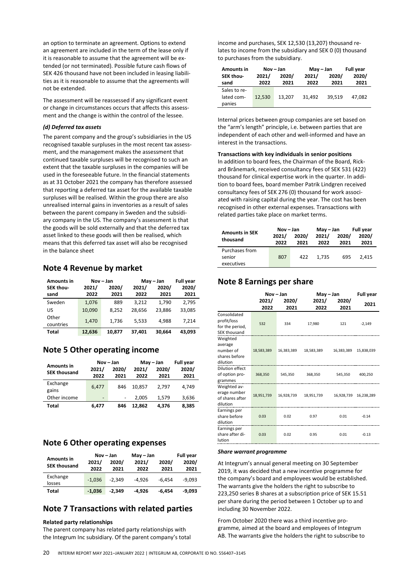an option to terminate an agreement. Options to extend an agreement are included in the term of the lease only if it is reasonable to assume that the agreement will be extended (or not terminated). Possible future cash flows of SEK 426 thousand have not been included in leasing liabilities as it is reasonable to assume that the agreements will not be extended.

The assessment will be reassessed if any significant event or change in circumstances occurs that affects this assessment and the change is within the control of the lessee.

#### *(d) Deferred tax assets*

The parent company and the group's subsidiaries in the US recognised taxable surpluses in the most recent tax assessment, and the management makes the assessment that continued taxable surpluses will be recognised to such an extent that the taxable surpluses in the companies will be used in the foreseeable future. In the financial statements as at 31 October 2021 the company has therefore assessed that reporting a deferred tax asset for the available taxable surpluses will be realised. Within the group there are also unrealised internal gains in inventories as a result of sales between the parent company in Sweden and the subsidiary company in the US. The company's assessment is that the goods will be sold externally and that the deferred tax asset linked to these goods will then be realised, which means that this deferred tax asset will also be recognised in the balance sheet

### **Note 4 Revenue by market**

| <b>Amounts in</b> |        | Nov-Jan<br>May - Jan |        |        | <b>Full year</b> |
|-------------------|--------|----------------------|--------|--------|------------------|
| SEK thou-         | 2021/  | 2020/                | 2021/  | 2020/  | 2020/            |
| sand              | 2022   | 2021                 | 2022   | 2021   | 2021             |
| Sweden            | 1,076  | 889                  | 3.212  | 1.790  | 2.795            |
| US                | 10.090 | 8.252                | 28.656 | 23.886 | 33.085           |
| Other             | 1,470  | 1.736                | 5.533  | 4.988  | 7,214            |
| countries         |        |                      |        |        |                  |
| <b>Total</b>      | 12.636 | 10.877               | 37,401 | 30.664 | 43.093           |

### **Note 5 Other operating income**

|                                          | Nov-Jan                  |                          | May - Jan     | <b>Full year</b> |               |  |
|------------------------------------------|--------------------------|--------------------------|---------------|------------------|---------------|--|
| <b>Amounts in</b><br><b>SEK thousand</b> | 2021/<br>2022            | 2020/<br>2021            | 2021/<br>2022 | 2020/<br>2021    | 2020/<br>2021 |  |
|                                          |                          |                          |               |                  |               |  |
| Exchange<br>gains                        | 6,477                    | 846                      | 10.857        | 2.797            | 4.749         |  |
| Other income                             | $\overline{\phantom{0}}$ | $\overline{\phantom{0}}$ | 2.005         | 1.579            | 3,636         |  |
| Total                                    | 6.477                    | 846                      | 12.862        | 4.376            | 8.385         |  |

## **Note 6 Other operating expenses**

| <b>Amounts in</b>   | 2021/    | Nov-Jan<br>2020/ | May - Jan<br>2021/ | 2020/    | <b>Full year</b><br>2020/ |
|---------------------|----------|------------------|--------------------|----------|---------------------------|
| <b>SEK thousand</b> | 2022     | 2021             | 2022               | 2021     | 2021                      |
| Exchange<br>losses  | $-1.036$ | $-2.349$         | $-4.926$           | $-6.454$ | $-9.093$                  |
| Total               | $-1.036$ | $-2.349$         | $-4.926$           | -6.454   | $-9.093$                  |

## **Note 7 Transactions with related parties**

#### **Related party relationships**

The parent company has related party relationships with the Integrum Inc subsidiary. Of the parent company's total income and purchases, SEK 12,530 (13,207) thousand relates to income from the subsidiary and SEK 0 (0) thousand to purchases from the subsidiary.

| <b>Amounts in</b> |        | Nov-Jan | $May - Jan$ | <b>Full year</b> |        |
|-------------------|--------|---------|-------------|------------------|--------|
| SEK thou-         | 2021/  | 2020/   |             | 2020/            | 2020/  |
| sand              | 2022   | 2021    | 2022        | 2021             | 2021   |
| Sales to re-      |        |         |             |                  |        |
| lated com-        | 12,530 | 13,207  | 31.492      | 39.519           | 47.082 |
| panies            |        |         |             |                  |        |

Internal prices between group companies are set based on the "arm's length" principle, i.e. between parties that are independent of each other and well-informed and have an interest in the transactions.

**Transactions with key individuals in senior positions** In addition to board fees, the Chairman of the Board, Rickard Brånemark, received consultancy fees of SEK 531 (422) thousand for clinical expertise work in the quarter. In addition to board fees, board member Patrik Lindgren received consultancy fees of SEK 276 (0) thousand for work associated with raising capital during the year. The cost has been recognised in other external expenses. Transactions with related parties take place on market terms.

|                                   | Nov – Jan |       | May – Jan |       | <b>Full year</b> |  |
|-----------------------------------|-----------|-------|-----------|-------|------------------|--|
| <b>Amounts in SEK</b><br>thousand | 2021/     | 2020/ | 2021/     | 2020/ | 2020/            |  |
|                                   | 2022      | 2021  | 2022      | 2021  | 2021             |  |
| Purchases from                    |           |       |           |       |                  |  |
| senior                            | 807       | 422   | 1.735     | 695   | 2.415            |  |
| executives                        |           |       |           |       |                  |  |

## **Note 8 Earnings per share**

|                                                                | Nov-Jan       |               | May - Jan     | <b>Full year</b> |            |
|----------------------------------------------------------------|---------------|---------------|---------------|------------------|------------|
|                                                                | 2021/<br>2022 | 2020/<br>2021 | 2021/<br>2022 | 2020/<br>2021    | 2021       |
| Consolidated<br>profit/loss<br>for the period,<br>SEK thousand | 532           | 334           | 17,980        | 121              | $-2,149$   |
| Weighted<br>average<br>number of<br>shares before<br>dilution  | 18,583,389    | 16,383,389    | 18,583,389    | 16,383,389       | 15,838,039 |
| Dilution effect<br>of option pro-<br>grammes                   | 368,350       | 545,350       | 368,350       | 545,350          | 400,250    |
| Weighted av-<br>erage number<br>of shares after<br>dilution    | 18,951,739    | 16,928,739    | 18,951,739    | 16,928,739       | 16,238,289 |
| Earnings per<br>share before<br>dilution                       | 0.03          | 0.02          | 0.97          | 0.01             | $-0.14$    |
| Earnings per<br>share after di-<br>lution                      | 0.03          | 0.02          | 0.95          | 0.01             | $-0.13$    |

#### *Share warrant programme*

At Integrum's annual general meeting on 30 September 2019, it was decided that a new incentive programme for the company's board and employees would be established. The warrants give the holders the right to subscribe to 223,250 series B shares at a subscription price of SEK 15.51 per share during the period between 1 October up to and including 30 November 2022.

From October 2020 there was a third incentive programme, aimed at the board and employees of Integrum AB. The warrants give the holders the right to subscribe to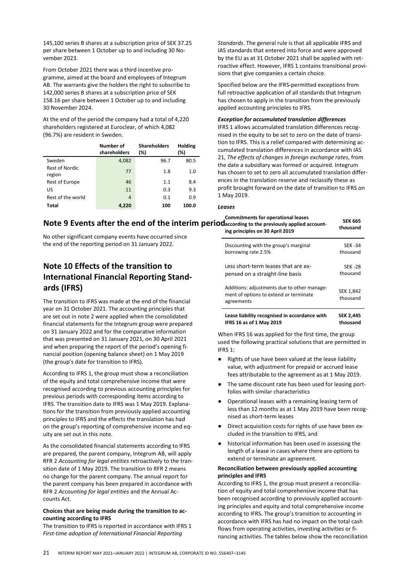145,100 series B shares at a subscription price of SEK 37.25 per share between 1 October up to and including 30 November 2023.

From October 2021 there was a third incentive programme, aimed at the board and employees of Integrum AB. The warrants give the holders the right to subscribe to 142,000 series B shares at a subscription price of SEK 158.16 per share between 1 October up to and including 30 November 2024.

At the end of the period the company had a total of 4,220 shareholders registered at Euroclear, of which 4,082 (96.7%) are resident in Sweden.

|                                 | Number of<br>shareholders | <b>Shareholders</b><br>(%) | Holding<br>(%) |
|---------------------------------|---------------------------|----------------------------|----------------|
| Sweden                          | 4,082                     | 96.7                       | 80.5           |
| <b>Rest of Nordic</b><br>region | 77                        | 1.8                        | 1.0            |
| <b>Rest of Europe</b>           | 46                        | 1.1                        | 8.4            |
| US                              | 11                        | 0.3                        | 9.3            |
| Rest of the world               | 4                         | 0.1                        | 0.9            |
| Total                           | 4.220                     | 100                        | 100.0          |

*Standards*. The general rule is that all applicable IFRS and IAS standards that entered into force and were approved by the EU as at 31 October 2021 shall be applied with retroactive effect. However, IFRS 1 contains transitional provisions that give companies a certain choice.

Specified below are the IFRS-permitted exceptions from full retroactive application of all standards that Integrum has chosen to apply in the transition from the previously applied accounting principles to IFRS.

#### *Exception for accumulated translation differences*

IFRS 1 allows accumulated translation differences recognised in the equity to be set to zero on the date of transition to IFRS. This is a relief compared with determining accumulated translation differences in accordance with IAS 21, *The effects of changes in foreign exchange rates*, from the date a subsidiary was formed or acquired. Integrum has chosen to set to zero all accumulated translation differences in the translation reserve and reclassify these as profit brought forward on the date of transition to IFRS on 1 May 2019.

#### *Leases*

#### Note 9 Events after the end of the interim periodaccording to the previously applied account-**Commitments for operational leases ing principles on 30 April 2019**

No other significant company events have occurred since the end of the reporting period on 31 January 2022.

## **Note 10 Effects of the transition to International Financial Reporting Standards (IFRS)**

The transition to IFRS was made at the end of the financial year on 31 October 2021. The accounting principles that are set out in note 2 were applied when the consolidated financial statements for the Integrum group were prepared on 31 January 2022 and for the comparative information that was presented on 31 January 2021, on 30 April 2021 and when preparing the report of the period's opening financial position (opening balance sheet) on 1 May 2019 (the group's date for transition to IFRS).

According to IFRS 1, the group must show a reconciliation of the equity and total comprehensive income that were recognised according to previous accounting principles for previous periods with corresponding items according to IFRS. The transition date to IFRS was 1 May 2019. Explanations for the transition from previously applied accounting principles to IFRS and the effects the translation has had on the group's reporting of comprehensive income and equity are set out in this note.

As the consolidated financial statements according to IFRS are prepared, the parent company, Integrum AB, will apply RFR 2 *Accounting for legal entities* retroactively to the transition date of 1 May 2019. The transition to RFR 2 means no change for the parent company. The annual report for the parent company has been prepared in accordance with RFR 2 *Accounting for legal entities* and the Annual Accounts Act.

#### **Choices that are being made during the transition to accounting according to IFRS**

The transition to IFRS is reported in accordance with IFRS 1 *First-time adoption of International Financial Reporting* 

| Discounting with the group's marginal                                                               | <b>SFK-34</b>         |
|-----------------------------------------------------------------------------------------------------|-----------------------|
| borrowing rate 2.5%                                                                                 | thousand              |
| Less short-term leases that are ex-                                                                 | SFK-28                |
| pensed on a straight-line basis                                                                     | thousand              |
| Additions: adjustments due to other manage-<br>ment of options to extend or terminate<br>agreements | SEK 1,842<br>thousand |

**SEK 665 thousand**

| Lease liability recognised in accordance with | <b>SEK 2,445</b> |
|-----------------------------------------------|------------------|
| IFRS 16 as of 1 May 2019                      | thousand         |

When IFRS 16 was applied for the first time, the group used the following practical solutions that are permitted in IFRS 1:

- Rights of use have been valued at the lease liability value, with adjustment for prepaid or accrued lease fees attributable to the agreement as at 1 May 2019.
- The same discount rate has been used for leasing portfolios with similar characteristics
- Operational leases with a remaining leasing term of less than 12 months as at 1 May 2019 have been recognised as short-term leases
- Direct acquisition costs for rights of use have been excluded in the transition to IFRS, and
- historical information has been used in assessing the length of a lease in cases where there are options to extend or terminate an agreement.

#### **Reconciliation between previously applied accounting principles and IFRS**

According to IFRS 1, the group must present a reconciliation of equity and total comprehensive income that has been recognised according to previously applied accounting principles and equity and total comprehensive income according to IFRS. The group's transition to accounting in accordance with IFRS has had no impact on the total cash flows from operating activities, investing activities or financing activities. The tables below show the reconciliation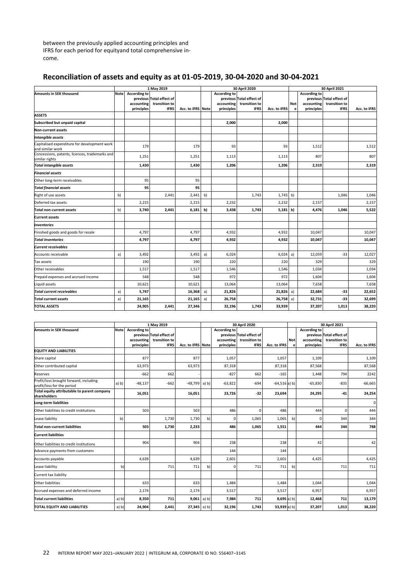between the previously applied accounting principles and IFRS for each period for equityand total comprehensive income.

## **Reconciliation of assets and equity as at 01-05-2019, 30-04-2020 and 30-04-2021**

|                                                                  | 1 May 2019  |                     |                                           | 30 April 2020     |    |                     |                                           | 30 April 2021 |            |                     |                                           |              |
|------------------------------------------------------------------|-------------|---------------------|-------------------------------------------|-------------------|----|---------------------|-------------------------------------------|---------------|------------|---------------------|-------------------------------------------|--------------|
| Amounts in SEK thousand                                          | <b>Note</b> | <b>According to</b> |                                           |                   |    | <b>According to</b> |                                           |               |            | <b>According to</b> |                                           |              |
|                                                                  |             | accounting          | previous Total effect of<br>transition to |                   |    | accounting          | previous Total effect of<br>transition to |               | <b>Not</b> | accounting          | previous Total effect of<br>transition to |              |
|                                                                  |             | principles          | <b>IFRS</b>                               | Acc. to IFRS Note |    | principles          | <b>IFRS</b>                               | Acc. to IFRS  | e          | principles          | <b>IFRS</b>                               | Acc. to IFRS |
| ASSETS                                                           |             |                     |                                           |                   |    |                     |                                           |               |            |                     |                                           |              |
| Subscribed but unpaid capital                                    |             |                     |                                           |                   |    | 2,000               |                                           | 2,000         |            |                     |                                           |              |
| <b>Non-current assets</b>                                        |             |                     |                                           |                   |    |                     |                                           |               |            |                     |                                           |              |
| Intangible assets                                                |             |                     |                                           |                   |    |                     |                                           |               |            |                     |                                           |              |
| Capitalised expenditure for development work<br>and similar work |             | 179                 |                                           | 179               |    | 93                  |                                           | 93            |            | 1,512               |                                           | 1,512        |
| Concessions, patents, licences, trademarks and<br>similar rights |             | 1,251               |                                           | 1,251             |    | 1,113               |                                           | 1,113         |            | 807                 |                                           | 807          |
| <b>Total intangible assets</b>                                   |             | 1,430               |                                           | 1,430             |    | 1,206               |                                           | 1,206         |            | 2,319               |                                           | 2,319        |
| <b>Financial assets</b>                                          |             |                     |                                           |                   |    |                     |                                           |               |            |                     |                                           |              |
| Other long-term receivables                                      |             | 95                  |                                           | 95                |    |                     |                                           |               |            |                     |                                           |              |
| <b>Total financial assets</b>                                    |             | 95                  |                                           | 95                |    |                     |                                           |               |            |                     |                                           |              |
| Right of use assets                                              | b)          |                     | 2,441                                     | 2,441             | b) |                     | 1,743                                     | 1,743         | b)         |                     | 1,046                                     | 1,046        |
| Deferred tax assets                                              |             | 2,215               |                                           | 2,215             |    | 2,232               |                                           | 2,232         |            | 2,157               |                                           | 2,157        |
| <b>Total non-current assets</b>                                  | b)          | 3.740               | 2,441                                     | 6,181             | b) | 3,438               | 1,743                                     | $5,181$ b)    |            | 4.476               | 1,046                                     | 5,522        |
| <b>Current assets</b>                                            |             |                     |                                           |                   |    |                     |                                           |               |            |                     |                                           |              |
| <b>Inventories</b>                                               |             |                     |                                           |                   |    |                     |                                           |               |            |                     |                                           |              |
| Finished goods and goods for resale                              |             | 4.797               |                                           | 4,797             |    | 4,932               |                                           | 4,932         |            | 10,047              |                                           | 10,047       |
| <b>Total inventories</b>                                         |             | 4,797               |                                           | 4,797             |    | 4,932               |                                           | 4,932         |            | 10,047              |                                           | 10,047       |
| <b>Current receivables</b>                                       |             |                     |                                           |                   |    |                     |                                           |               |            |                     |                                           |              |
| Accounts receivable                                              | a)          | 3,492               |                                           | 3,492             | a) | 6,024               |                                           | 6,024         | a)         | 12,059              | $-33$                                     | 12,027       |
| Tax assets                                                       |             | 190                 |                                           | 190               |    | 220                 |                                           | 220           |            | 329                 |                                           | 329          |
| Other receivables                                                |             | 1,517               |                                           | 1,517             |    | 1,546               |                                           | 1,546         |            | 1,034               |                                           | 1,034        |
| Prepaid expenses and accrued income                              |             | 548                 |                                           | 548               |    | 972                 |                                           | 972           |            | 1,604               |                                           | 1,604        |
| Liquid assets                                                    |             | 10,621              |                                           | 10,621            |    | 13,064              |                                           | 13,064        |            | 7,658               |                                           | 7,658        |
| <b>Total current receivables</b>                                 | a)          | 5,747               |                                           | 16,368            | a) | 21,826              |                                           | 21,826        | a)         | 22,684              | $-33$                                     | 22,652       |
| <b>Total current assets</b>                                      | a)          | 21,165              |                                           | 21,165            | a) | 26,758              |                                           | $26,758$ a)   |            | 32,731              | -33                                       | 32,699       |
| <b>TOTAL ASSETS</b>                                              |             | 24,905              | 2.441                                     | 27,346            |    | 32,196              | 1,743                                     | 33,939        |            | 37,207              | 1,013                                     | 38,220       |

|                                                                      | 1 May 2019  |                          |                              |                   | 30 April 2020 |                          |                              |                 | 30 April 2021 |                          |                              |              |
|----------------------------------------------------------------------|-------------|--------------------------|------------------------------|-------------------|---------------|--------------------------|------------------------------|-----------------|---------------|--------------------------|------------------------------|--------------|
| <b>Amounts in SEK thousand</b>                                       | <b>Note</b> | <b>According to</b>      |                              |                   |               | <b>According to</b>      |                              |                 |               | <b>According to</b>      |                              |              |
|                                                                      |             |                          | previous Total effect of     |                   |               |                          | previous Total effect of     |                 |               |                          | previous Total effect of     |              |
|                                                                      |             | accounting<br>principles | transition to<br><b>IFRS</b> | Acc. to IFRS Note |               | accounting<br>principles | transition to<br><b>IFRS</b> | Acc. to IFRS    | <b>Not</b>    | accounting<br>principles | transition to<br><b>IFRS</b> | Acc. to IFRS |
| <b>EQUITY AND LIABILITIES</b>                                        |             |                          |                              |                   |               |                          |                              |                 | e             |                          |                              |              |
|                                                                      |             |                          |                              | 877               |               |                          |                              |                 |               |                          |                              |              |
| Share capital                                                        |             | 877                      |                              |                   |               | 1,057                    |                              | 1,057           |               | 1.109                    |                              | 1,109        |
| Other contributed capital                                            |             | 63,973                   |                              | 63,973            |               | 87,318                   |                              | 87,318          |               | 87,568                   |                              | 87,568       |
| <b>Reserves</b>                                                      |             | $-662$                   | 662                          |                   |               | $-827$                   | 662                          | $-165$          |               | 1,448                    | 794                          | 2242         |
| Profit/loss brought forward, including<br>profit/loss for the period | a) b)       | $-48,137$                | $-662$                       | $-48,799$         | a) b)         | $-63,822$                | $-694$                       | $-64,516$ a) b) |               | $-65,830$                | $-835$                       | $-66,665$    |
| Total equity attributable to parent company<br>shareholders          |             | 16,051                   |                              | 16,051            |               | 23,726                   | $-32$                        | 23,694          |               | 24,295                   | $-41$                        | 24,254       |
| Long-term liabilities                                                |             |                          |                              |                   |               |                          |                              |                 |               |                          |                              | 0            |
| Other liabilities to credit institutions                             |             | 503                      |                              | 503               |               | 486                      | $\mathbf 0$                  | 486             |               | 444                      | $\Omega$                     | 444          |
| Lease liability                                                      | b)          |                          | 1,730                        | 1,730             | b)            | $\mathbf 0$              | 1,065                        | 1,065           | b)            | $\Omega$                 | 344                          | 344          |
| <b>Total non-current liabilities</b>                                 |             | 503                      | 1,730                        | 2,233             |               | 486                      | 1,065                        | 1,551           |               | 444                      | 344                          | 788          |
| <b>Current liabilities</b>                                           |             |                          |                              |                   |               |                          |                              |                 |               |                          |                              |              |
| Other liabilities to credit institutions                             |             | 904                      |                              | 904               |               | 238                      |                              | 238             |               | 42                       |                              | 42           |
| Advance payments from customers                                      |             |                          |                              |                   |               | 144                      |                              | 144             |               |                          |                              |              |
| Accounts payable                                                     |             | 4.639                    |                              | 4,639             |               | 2,601                    |                              | 2,601           |               | 4,425                    |                              | 4,425        |
| Lease liability                                                      | b)          |                          | 711                          | 711               | b)            | $\mathbf 0$              | 711                          | 711             | b)            |                          | 711                          | 711          |
| Current tax liability                                                |             |                          |                              |                   |               |                          |                              |                 |               |                          |                              |              |
| Other liabilities                                                    |             | 633                      |                              | 633               |               | 1,484                    |                              | 1,484           |               | 1,044                    |                              | 1,044        |
| Accrued expenses and deferred income                                 |             | 2,174                    |                              | 2,174             |               | 3,517                    |                              | 3,517           |               | 6,957                    |                              | 6,957        |
| <b>Total current liabilities</b>                                     | a) b)       | 8,350                    | 711                          | 9,061             | a) b)         | 7,984                    | 711                          | 8,695a) b)      |               | 12,468                   | 711                          | 13,179       |
| TOTAL EQUITY AND LIABILITIES                                         | a) b)       | 24,904                   | 2,441                        | $27,345$ a) b)    |               | 32,196                   | 1,743                        | 33,939 a) b)    |               | 37,207                   | 1,013                        | 38,220       |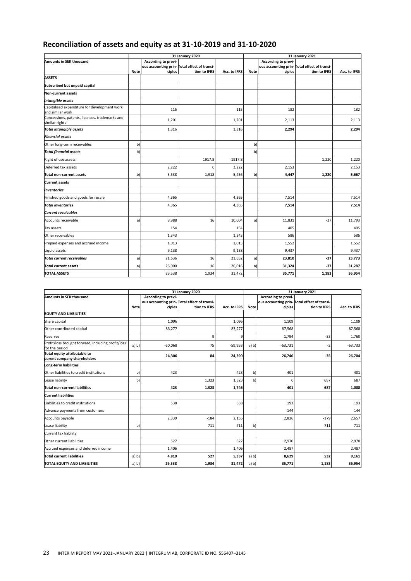## **Reconciliation of assets and equity as at 31-10-2019 and 31-10-2020**

|                                                                  |             |                               | 31 January 2020                                              |              | 31 January 2021 |                               |                                                              |              |  |
|------------------------------------------------------------------|-------------|-------------------------------|--------------------------------------------------------------|--------------|-----------------|-------------------------------|--------------------------------------------------------------|--------------|--|
| <b>Amounts in SEK thousand</b>                                   | <b>Note</b> | According to previ-<br>ciples | ous accounting prin- Total effect of transi-<br>tion to IFRS | Acc. to IFRS | <b>Note</b>     | According to previ-<br>ciples | ous accounting prin- Total effect of transi-<br>tion to IFRS | Acc. to IFRS |  |
| <b>ASSETS</b>                                                    |             |                               |                                                              |              |                 |                               |                                                              |              |  |
| Subscribed but unpaid capital                                    |             |                               |                                                              |              |                 |                               |                                                              |              |  |
| <b>Non-current assets</b>                                        |             |                               |                                                              |              |                 |                               |                                                              |              |  |
| Intangible assets                                                |             |                               |                                                              |              |                 |                               |                                                              |              |  |
| Capitalised expenditure for development work<br>and similar work |             | 115                           |                                                              | 115          |                 | 182                           |                                                              | 182          |  |
| Concessions, patents, licences, trademarks and<br>similar rights |             | 1,201                         |                                                              | 1,201        |                 | 2,113                         |                                                              | 2,113        |  |
| <b>Total intangible assets</b>                                   |             | 1,316                         |                                                              | 1,316        |                 | 2,294                         |                                                              | 2,294        |  |
| <b>Financial assets</b>                                          |             |                               |                                                              |              |                 |                               |                                                              |              |  |
| Other long-term receivables                                      | b)          |                               |                                                              |              | b)              |                               |                                                              |              |  |
| <b>Total financial assets</b>                                    | b)          |                               |                                                              |              | b)              |                               |                                                              |              |  |
| Right of use assets                                              |             |                               | 1917.8                                                       | 1917.8       |                 |                               | 1,220                                                        | 1,220        |  |
| Deferred tax assets                                              |             | 2,222                         | 0                                                            | 2,222        |                 | 2,153                         |                                                              | 2,153        |  |
| <b>Total non-current assets</b>                                  | b)          | 3,538                         | 1,918                                                        | 5,456        | b)              | 4,447                         | 1,220                                                        | 5,667        |  |
| <b>Current assets</b>                                            |             |                               |                                                              |              |                 |                               |                                                              |              |  |
| <b>Inventories</b>                                               |             |                               |                                                              |              |                 |                               |                                                              |              |  |
| Finished goods and goods for resale                              |             | 4,365                         |                                                              | 4,365        |                 | 7,514                         |                                                              | 7,514        |  |
| <b>Total inventories</b>                                         |             | 4,365                         |                                                              | 4,365        |                 | 7,514                         |                                                              | 7,514        |  |
| <b>Current receivables</b>                                       |             |                               |                                                              |              |                 |                               |                                                              |              |  |
| Accounts receivable                                              | a)          | 9,988                         | 16                                                           | 10,004       | a)              | 11,831                        | $-37$                                                        | 11,793       |  |
| Tax assets                                                       |             | 154                           |                                                              | 154          |                 | 405                           |                                                              | 405          |  |
| Other receivables                                                |             | 1,343                         |                                                              | 1,343        |                 | 586                           |                                                              | 586          |  |
| Prepaid expenses and accrued income                              |             | 1,013                         |                                                              | 1,013        |                 | 1,552                         |                                                              | 1,552        |  |
| Liquid assets                                                    |             | 9,138                         |                                                              | 9,138        |                 | 9,437                         |                                                              | 9,437        |  |
| <b>Total current receivables</b>                                 | a)          | 21,636                        | 16                                                           | 21,652       | a)              | 23,810                        | $-37$                                                        | 23,773       |  |
| <b>Total current assets</b>                                      | a)          | 26,000                        | 16                                                           | 26,016       | a)              | 31,324                        | $-37$                                                        | 31,287       |  |
| <b>TOTAL ASSETS</b>                                              |             | 29,538                        | 1,934                                                        | 31,472       |                 | 35,771                        | 1,183                                                        | 36,954       |  |
|                                                                  |             |                               |                                                              |              |                 |                               |                                                              |              |  |

|                                                                      | 31 January 2020<br>31 January 2021 |                     |                                              |              |             |                     |                                              |              |
|----------------------------------------------------------------------|------------------------------------|---------------------|----------------------------------------------|--------------|-------------|---------------------|----------------------------------------------|--------------|
| <b>Amounts in SEK thousand</b>                                       |                                    | According to previ- |                                              |              |             | According to previ- |                                              |              |
|                                                                      |                                    |                     | ous accounting prin- Total effect of transi- |              |             |                     | ous accounting prin- Total effect of transi- |              |
|                                                                      | <b>Note</b>                        | ciples              | tion to IFRS                                 | Acc. to IFRS | <b>Note</b> | ciples              | tion to IFRS                                 | Acc. to IFRS |
| <b>EQUITY AND LIABILITIES</b>                                        |                                    |                     |                                              |              |             |                     |                                              |              |
| Share capital                                                        |                                    | 1,096               |                                              | 1,096        |             | 1,109               |                                              | 1,109        |
| Other contributed capital                                            |                                    | 83,277              |                                              | 83,277       |             | 87,568              |                                              | 87,568       |
| Reserves                                                             |                                    |                     | 9                                            | 9            |             | 1,794               | $-33$                                        | 1,760        |
| Profit/loss brought forward, including profit/loss<br>for the period | a) b)                              | $-60,068$           | 75                                           | $-59,993$    | a) b)       | $-63,731$           | -2                                           | $-63,733$    |
| Total equity attributable to<br>parent company shareholders          |                                    | 24,306              | 84                                           | 24,390       |             | 26,740              | $-35$                                        | 26,704       |
| Long-term liabilities                                                |                                    |                     |                                              |              |             |                     |                                              |              |
| Other liabilities to credit institutions                             | b)                                 | 423                 |                                              | 423          | b)          | 401                 |                                              | 401          |
| Lease liability                                                      | b)                                 |                     | 1,323                                        | 1,323        | b)          | $\Omega$            | 687                                          | 687          |
| <b>Total non-current liabilities</b>                                 |                                    | 423                 | 1,323                                        | 1,746        |             | 401                 | 687                                          | 1,088        |
| <b>Current liabilities</b>                                           |                                    |                     |                                              |              |             |                     |                                              |              |
| Liabilities to credit institutions                                   |                                    | 538                 |                                              | 538          |             | 193                 |                                              | 193          |
| Advance payments from customers                                      |                                    |                     |                                              |              |             | 144                 |                                              | 144          |
| Accounts payable                                                     |                                    | 2,339               | $-184$                                       | 2,155        |             | 2,836               | $-179$                                       | 2,657        |
| Lease liability                                                      | b)                                 |                     | 711                                          | 711          | b)          |                     | 711                                          | 711          |
| Current tax liability                                                |                                    |                     |                                              |              |             |                     |                                              |              |
| Other current liabilities                                            |                                    | 527                 |                                              | 527          |             | 2.970               |                                              | 2,970        |
| Accrued expenses and deferred income                                 |                                    | 1,406               |                                              | 1,406        |             | 2,487               |                                              | 2,487        |
| <b>Total current liabilities</b>                                     | a) b)                              | 4,810               | 527                                          | 5,337        | a) b)       | 8,629               | 532                                          | 9,161        |
| TOTAL EQUITY AND LIABILITIES                                         | a) b)                              | 29,538              | 1,934                                        | 31,472       | a) b)       | 35,771              | 1,183                                        | 36,954       |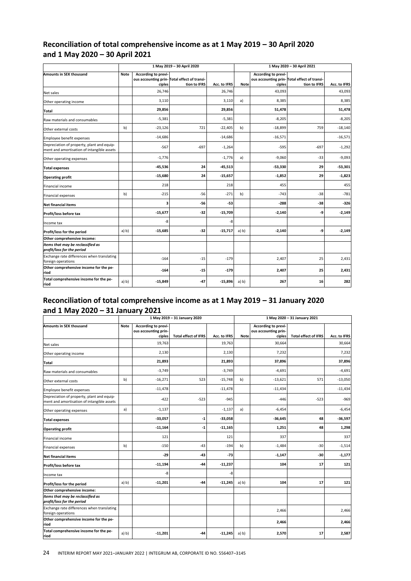## **Reconciliation of total comprehensive income as at 1 May 2019 – 30 April 2020 and 1 May 2020 – 30 April 2021**

|                                                                                          | 1 May 2019 - 30 April 2020 |                               |                                                             | 1 May 2020 - 30 April 2021 |             |                               |                                                              |              |
|------------------------------------------------------------------------------------------|----------------------------|-------------------------------|-------------------------------------------------------------|----------------------------|-------------|-------------------------------|--------------------------------------------------------------|--------------|
| Amounts in SEK thousand                                                                  | Note                       | According to previ-<br>ciples | ous accounting prin-Total effect of transi-<br>tion to IFRS | Acc. to IFRS               | <b>Note</b> | According to previ-<br>ciples | ous accounting prin- Total effect of transi-<br>tion to IFRS | Acc. to IFRS |
| Net sales                                                                                |                            | 26,746                        |                                                             | 26,746                     |             | 43,093                        |                                                              | 43,093       |
| Other operating income                                                                   |                            | 3,110                         |                                                             | 3,110                      | a)          | 8,385                         |                                                              | 8,385        |
| Total                                                                                    |                            | 29,856                        |                                                             | 29,856                     |             | 51,478                        |                                                              | 51,478       |
| Raw materials and consumables                                                            |                            | $-5,381$                      |                                                             | $-5,381$                   |             | $-8,205$                      |                                                              | $-8,205$     |
| Other external costs                                                                     | b)                         | $-23,126$                     | 721                                                         | $-22,405$                  | b)          | $-18,899$                     | 759                                                          | $-18,140$    |
| Employee benefit expenses                                                                |                            | $-14,686$                     |                                                             | $-14,686$                  |             | $-16,571$                     |                                                              | $-16,571$    |
| Depreciation of property, plant and equip-<br>ment and amortisation of intangible assets |                            | $-567$                        | $-697$                                                      | $-1,264$                   |             | $-595$                        | $-697$                                                       | $-1,292$     |
| Other operating expenses                                                                 |                            | $-1,776$                      |                                                             | $-1,776$                   | a)          | $-9,060$                      | $-33$                                                        | $-9,093$     |
| <b>Total expenses</b>                                                                    |                            | $-45,536$                     | 24                                                          | $-45,513$                  |             | $-53,330$                     | 29                                                           | $-53,301$    |
| <b>Operating profit</b>                                                                  |                            | $-15,680$                     | 24                                                          | $-15,657$                  |             | $-1,852$                      | 29                                                           | $-1,823$     |
| Financial income                                                                         |                            | 218                           |                                                             | 218                        |             | 455                           |                                                              | 455          |
| <b>Financial expenses</b>                                                                | b)                         | $-215$                        | $-56$                                                       | $-271$                     | b)          | $-743$                        | $-38$                                                        | $-781$       |
| <b>Net financial items</b>                                                               |                            | 3                             | $-56$                                                       | $-53$                      |             | $-288$                        | $-38$                                                        | $-326$       |
| Profit/loss before tax                                                                   |                            | $-15,677$                     | $-32$                                                       | $-15,709$                  |             | $-2,140$                      | -9                                                           | $-2,149$     |
| Income tax                                                                               |                            | -8                            |                                                             | -8                         |             |                               |                                                              |              |
| Profit/loss for the period                                                               | a) b)                      | $-15,685$                     | $-32$                                                       | $-15,717$                  | a) b)       | $-2,140$                      | -9                                                           | $-2,149$     |
| Other comprehensive income:                                                              |                            |                               |                                                             |                            |             |                               |                                                              |              |
| Items that may be reclassified as<br>profit/loss for the period                          |                            |                               |                                                             |                            |             |                               |                                                              |              |
| Exchange rate differences when translating<br>foreign operations                         |                            | $-164$                        | $-15$                                                       | $-179$                     |             | 2,407                         | 25                                                           | 2,431        |
| Other comprehensive income for the pe-<br>riod                                           |                            | $-164$                        | $-15$                                                       | $-179$                     |             | 2,407                         | 25                                                           | 2,431        |
| Total comprehensive income for the pe-<br>riod                                           | a) b)                      | $-15,849$                     | $-47$                                                       | $-15,896$                  | a) b)       | 267                           | 16                                                           | 282          |

## **Reconciliation of total comprehensive income as at 1 May 2019 – 31 January 2020 and 1 May 2020 – 31 January 2021**

|                                                                                          | 1 May 2019 - 31 January 2020 |                                             |                             | 1 May 2020 - 31 January 2021 |             |                                             |                             |              |
|------------------------------------------------------------------------------------------|------------------------------|---------------------------------------------|-----------------------------|------------------------------|-------------|---------------------------------------------|-----------------------------|--------------|
| Amounts in SEK thousand                                                                  | <b>Note</b>                  | According to previ-<br>ous accounting prin- |                             |                              |             | According to previ-<br>ous accounting prin- |                             |              |
|                                                                                          |                              | ciples                                      | <b>Total effect of IFRS</b> | Acc. to IFRS                 | <b>Note</b> | ciples                                      | <b>Total effect of IFRS</b> | Acc. to IFRS |
| Net sales                                                                                |                              | 19,763                                      |                             | 19,763                       |             | 30,664                                      |                             | 30,664       |
| Other operating income                                                                   |                              | 2,130                                       |                             | 2,130                        |             | 7,232                                       |                             | 7,232        |
| Total                                                                                    |                              | 21,893                                      |                             | 21,893                       |             | 37,896                                      |                             | 37,896       |
| Raw materials and consumables                                                            |                              | $-3,749$                                    |                             | $-3,749$                     |             | $-4,691$                                    |                             | $-4,691$     |
| Other external costs                                                                     | b)                           | $-16,271$                                   | 523                         | $-15,748$                    | b)          | $-13,621$                                   | 571                         | $-13,050$    |
| Employee benefit expenses                                                                |                              | $-11,478$                                   |                             | $-11,478$                    |             | $-11,434$                                   |                             | $-11,434$    |
| Depreciation of property, plant and equip-<br>ment and amortisation of intangible assets |                              | $-422$                                      | $-523$                      | $-945$                       |             | $-446$                                      | $-523$                      | $-969$       |
| Other operating expenses                                                                 | a)                           | $-1,137$                                    |                             | $-1,137$                     | a)          | $-6,454$                                    |                             | $-6,454$     |
| <b>Total expenses</b>                                                                    |                              | $-33,057$                                   | -1                          | $-33,058$                    |             | $-36,645$                                   | 48                          | $-36,597$    |
| <b>Operating profit</b>                                                                  |                              | $-11,164$                                   | -1                          | $-11,165$                    |             | 1,251                                       | 48                          | 1,298        |
| Financial income                                                                         |                              | 121                                         |                             | 121                          |             | 337                                         |                             | 337          |
| Financial expenses                                                                       | b)                           | $-150$                                      | $-43$                       | $-194$                       | b)          | $-1,484$                                    | $-30$                       | $-1,514$     |
| <b>Net financial items</b>                                                               |                              | $-29$                                       | $-43$                       | $-73$                        |             | $-1,147$                                    | $-30$                       | $-1,177$     |
| Profit/loss before tax                                                                   |                              | $-11,194$                                   | $-44$                       | $-11,237$                    |             | 104                                         | 17                          | 121          |
| Income tax                                                                               |                              | -8                                          |                             | -8                           |             |                                             |                             |              |
| Profit/loss for the period                                                               | a) b)                        | $-11,201$                                   | $-44$                       | $-11,245$                    | a) b)       | 104                                         | 17                          | 121          |
| Other comprehensive income:                                                              |                              |                                             |                             |                              |             |                                             |                             |              |
| Items that may be reclassified as<br>profit/loss for the period                          |                              |                                             |                             |                              |             |                                             |                             |              |
| Exchange rate differences when translating<br>foreign operations                         |                              |                                             |                             |                              |             | 2,466                                       |                             | 2,466        |
| Other comprehensive income for the pe-<br>riod                                           |                              |                                             |                             |                              |             | 2,466                                       |                             | 2,466        |
| Total comprehensive income for the pe-<br>riod                                           | a) b)                        | $-11,201$                                   | -44                         | $-11,245$                    | a) b)       | 2,570                                       | 17                          | 2,587        |